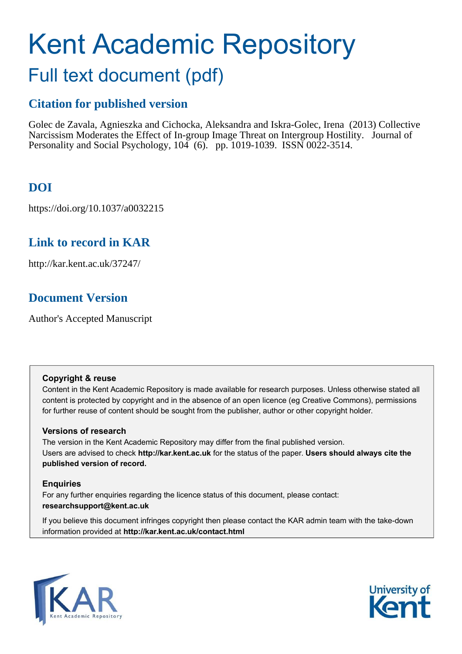# Kent Academic Repository

## Full text document (pdf)

## **Citation for published version**

Golec de Zavala, Agnieszka and Cichocka, Aleksandra and Iskra-Golec, Irena (2013) Collective Narcissism Moderates the Effect of In-group Image Threat on Intergroup Hostility. Journal of Personality and Social Psychology, 104 (6). pp. 1019-1039. ISSN 0022-3514.

## **DOI**

https://doi.org/10.1037/a0032215

## **Link to record in KAR**

http://kar.kent.ac.uk/37247/

## **Document Version**

Author's Accepted Manuscript

#### **Copyright & reuse**

Content in the Kent Academic Repository is made available for research purposes. Unless otherwise stated all content is protected by copyright and in the absence of an open licence (eg Creative Commons), permissions for further reuse of content should be sought from the publisher, author or other copyright holder.

#### **Versions of research**

The version in the Kent Academic Repository may differ from the final published version. Users are advised to check **http://kar.kent.ac.uk** for the status of the paper. **Users should always cite the published version of record.**

#### **Enquiries**

For any further enquiries regarding the licence status of this document, please contact: **researchsupport@kent.ac.uk**

If you believe this document infringes copyright then please contact the KAR admin team with the take-down information provided at **http://kar.kent.ac.uk/contact.html**



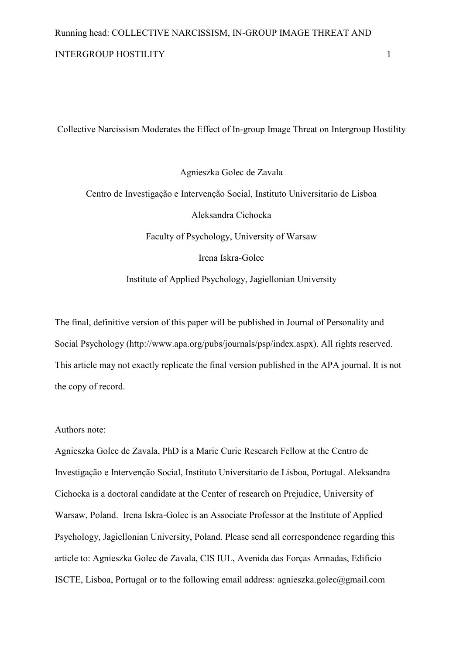Collective Narcissism Moderates the Effect of In-group Image Threat on Intergroup Hostility

Agnieszka Golec de Zavala Centro de Investigação e Intervenção Social, Instituto Universitario de Lisboa Aleksandra Cichocka Faculty of Psychology, University of Warsaw Irena Iskra-Golec Institute of Applied Psychology, Jagiellonian University

The final, definitive version of this paper will be published in Journal of Personality and Social Psychology (http://www.apa.org/pubs/journals/psp/index.aspx). All rights reserved. This article may not exactly replicate the final version published in the APA journal. It is not the copy of record.

#### Authors note:

Agnieszka Golec de Zavala, PhD is a Marie Curie Research Fellow at the Centro de Investigação e Intervenção Social, Instituto Universitario de Lisboa, Portugal. Aleksandra Cichocka is a doctoral candidate at the Center of research on Prejudice, University of Warsaw, Poland. Irena Iskra-Golec is an Associate Professor at the Institute of Applied Psychology, Jagiellonian University, Poland. Please send all correspondence regarding this article to: Agnieszka Golec de Zavala, CIS IUL, Avenida das Forças Armadas, Edificio ISCTE, Lisboa, Portugal or to the following email address: agnieszka.golec@gmail.com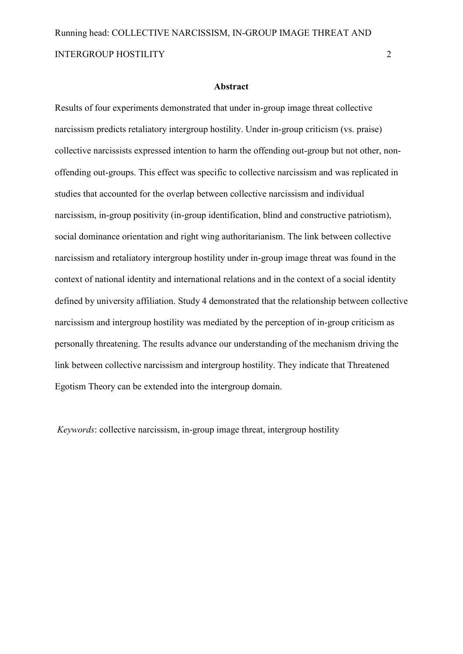#### **-**

Results of four experiments demonstrated that under in-group image threat collective narcissism predicts retaliatory intergroup hostility. Under in-group criticism (vs. praise) collective narcissists expressed intention to harm the offending out-group but not other, nonoffending out-groups. This effect was specific to collective narcissism and was replicated in studies that accounted for the overlap between collective narcissism and individual narcissism, in-group positivity (in-group identification, blind and constructive patriotism), social dominance orientation and right wing authoritarianism. The link between collective narcissism and retaliatory intergroup hostility under in-group image threat was found in the context of national identity and international relations and in the context of a social identity defined by university affiliation. Study 4 demonstrated that the relationship between collective narcissism and intergroup hostility was mediated by the perception of in-group criticism as personally threatening. The results advance our understanding of the mechanism driving the link between collective narcissism and intergroup hostility. They indicate that Threatened Egotism Theory can be extended into the intergroup domain.

*Keywords*: collective narcissism, in-group image threat, intergroup hostility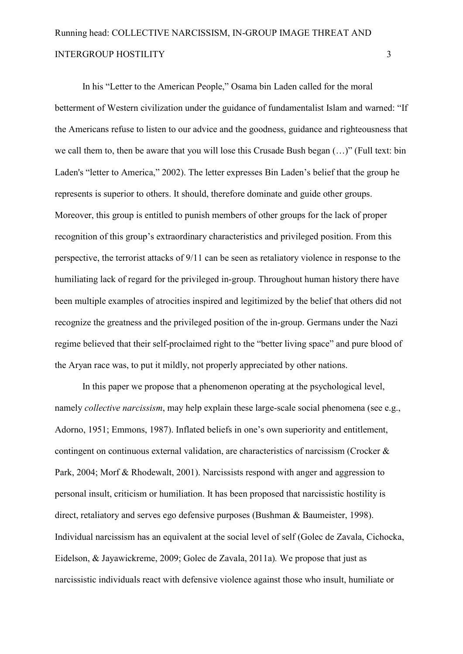In his "Letter to the American People," Osama bin Laden called for the moral betterment of Western civilization under the guidance of fundamentalist Islam and warned: "If the Americans refuse to listen to our advice and the goodness, guidance and righteousness that we call them to, then be aware that you will lose this Crusade Bush began (…)" (Full text: bin Laden's "letter to America," 2002). The letter expresses Bin Laden's belief that the group he represents is superior to others. It should, therefore dominate and guide other groups. Moreover, this group is entitled to punish members of other groups for the lack of proper recognition of this group's extraordinary characteristics and privileged position. From this perspective, the terrorist attacks of 9/11 can be seen as retaliatory violence in response to the humiliating lack of regard for the privileged in-group. Throughout human history there have been multiple examples of atrocities inspired and legitimized by the belief that others did not recognize the greatness and the privileged position of the in-group. Germans under the Nazi regime believed that their self-proclaimed right to the "better living space" and pure blood of the Aryan race was, to put it mildly, not properly appreciated by other nations.

In this paper we propose that a phenomenon operating at the psychological level, namely *collective narcissism*, may help explain these large-scale social phenomena (see e.g., Adorno, 1951; Emmons, 1987). Inflated beliefs in one's own superiority and entitlement, contingent on continuous external validation, are characteristics of narcissism (Crocker & Park, 2004; Morf & Rhodewalt, 2001). Narcissists respond with anger and aggression to personal insult, criticism or humiliation. It has been proposed that narcissistic hostility is direct, retaliatory and serves ego defensive purposes (Bushman & Baumeister, 1998). Individual narcissism has an equivalent at the social level of self (Golec de Zavala, Cichocka, Eidelson, & Jayawickreme, 2009; Golec de Zavala, 2011a)*.* We propose that just as narcissistic individuals react with defensive violence against those who insult, humiliate or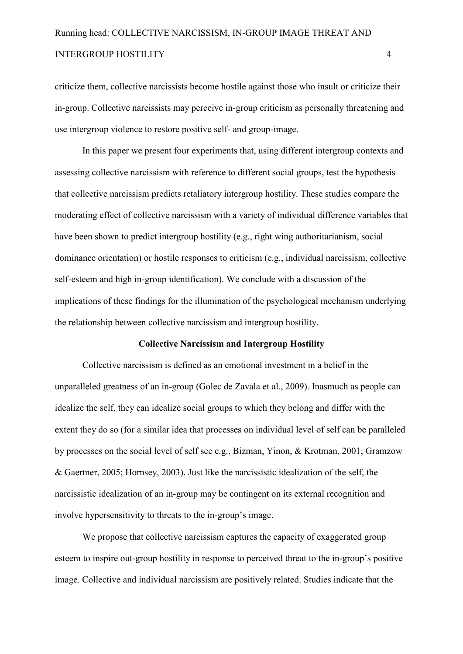criticize them, collective narcissists become hostile against those who insult or criticize their in-group. Collective narcissists may perceive in-group criticism as personally threatening and use intergroup violence to restore positive self- and group-image.

In this paper we present four experiments that, using different intergroup contexts and assessing collective narcissism with reference to different social groups, test the hypothesis that collective narcissism predicts retaliatory intergroup hostility. These studies compare the moderating effect of collective narcissism with a variety of individual difference variables that have been shown to predict intergroup hostility (e.g., right wing authoritarianism, social dominance orientation) or hostile responses to criticism (e.g., individual narcissism, collective self-esteem and high in-group identification). We conclude with a discussion of the implications of these findings for the illumination of the psychological mechanism underlying the relationship between collective narcissism and intergroup hostility.

#### **Collective Narcissism and Intergroup Hostility**

Collective narcissism is defined as an emotional investment in a belief in the unparalleled greatness of an in-group (Golec de Zavala et al., 2009). Inasmuch as people can idealize the self, they can idealize social groups to which they belong and differ with the extent they do so (for a similar idea that processes on individual level of self can be paralleled by processes on the social level of self see e.g., Bizman, Yinon, & Krotman, 2001; Gramzow & Gaertner, 2005; Hornsey, 2003). Just like the narcissistic idealization of the self, the narcissistic idealization of an in-group may be contingent on its external recognition and involve hypersensitivity to threats to the in-group's image.

We propose that collective narcissism captures the capacity of exaggerated group esteem to inspire out-group hostility in response to perceived threat to the in-group's positive image. Collective and individual narcissism are positively related. Studies indicate that the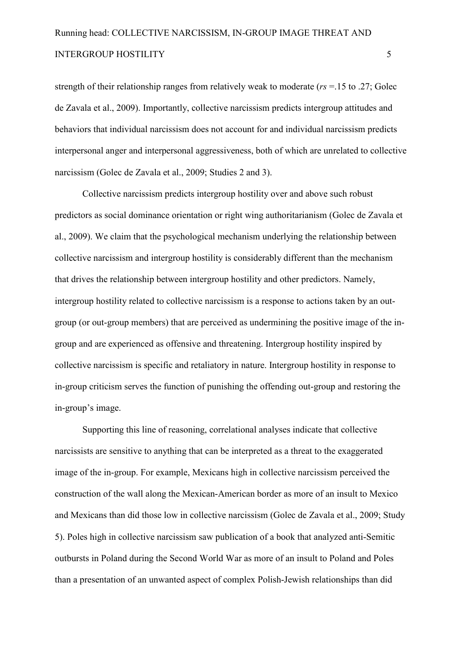strength of their relationship ranges from relatively weak to moderate (*rs* =.15 to .27; Golec de Zavala et al., 2009). Importantly, collective narcissism predicts intergroup attitudes and behaviors that individual narcissism does not account for and individual narcissism predicts interpersonal anger and interpersonal aggressiveness, both of which are unrelated to collective narcissism (Golec de Zavala et al., 2009; Studies 2 and 3).

Collective narcissism predicts intergroup hostility over and above such robust predictors as social dominance orientation or right wing authoritarianism (Golec de Zavala et al., 2009). We claim that the psychological mechanism underlying the relationship between collective narcissism and intergroup hostility is considerably different than the mechanism that drives the relationship between intergroup hostility and other predictors. Namely, intergroup hostility related to collective narcissism is a response to actions taken by an outgroup (or out-group members) that are perceived as undermining the positive image of the ingroup and are experienced as offensive and threatening. Intergroup hostility inspired by collective narcissism is specific and retaliatory in nature. Intergroup hostility in response to in-group criticism serves the function of punishing the offending out-group and restoring the in-group's image.

Supporting this line of reasoning, correlational analyses indicate that collective narcissists are sensitive to anything that can be interpreted as a threat to the exaggerated image of the in-group. For example, Mexicans high in collective narcissism perceived the construction of the wall along the Mexican-American border as more of an insult to Mexico and Mexicans than did those low in collective narcissism (Golec de Zavala et al., 2009; Study 5). Poles high in collective narcissism saw publication of a book that analyzed anti-Semitic outbursts in Poland during the Second World War as more of an insult to Poland and Poles than a presentation of an unwanted aspect of complex Polish-Jewish relationships than did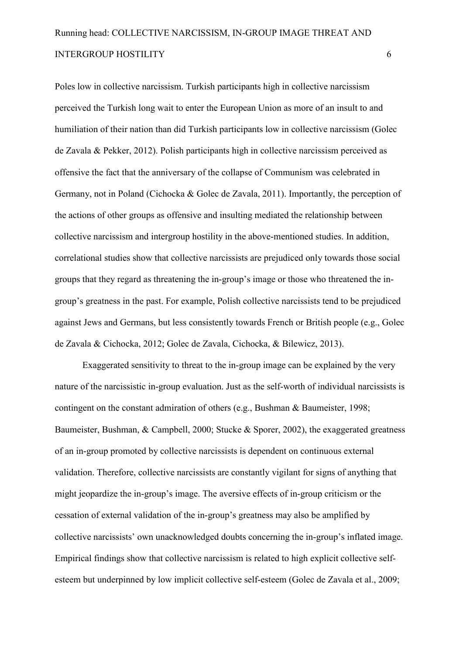Poles low in collective narcissism. Turkish participants high in collective narcissism perceived the Turkish long wait to enter the European Union as more of an insult to and humiliation of their nation than did Turkish participants low in collective narcissism (Golec de Zavala & Pekker, 2012). Polish participants high in collective narcissism perceived as offensive the fact that the anniversary of the collapse of Communism was celebrated in Germany, not in Poland (Cichocka & Golec de Zavala, 2011). Importantly, the perception of the actions of other groups as offensive and insulting mediated the relationship between collective narcissism and intergroup hostility in the above-mentioned studies. In addition, correlational studies show that collective narcissists are prejudiced only towards those social groups that they regard as threatening the in-group's image or those who threatened the ingroup's greatness in the past. For example, Polish collective narcissists tend to be prejudiced against Jews and Germans, but less consistently towards French or British people (e.g., Golec de Zavala & Cichocka, 2012; Golec de Zavala, Cichocka, & Bilewicz, 2013).

Exaggerated sensitivity to threat to the in-group image can be explained by the very nature of the narcissistic in-group evaluation. Just as the self-worth of individual narcissists is contingent on the constant admiration of others (e.g., Bushman & Baumeister, 1998; Baumeister, Bushman, & Campbell, 2000; Stucke & Sporer, 2002), the exaggerated greatness of an in-group promoted by collective narcissists is dependent on continuous external validation. Therefore, collective narcissists are constantly vigilant for signs of anything that might jeopardize the in-group's image. The aversive effects of in-group criticism or the cessation of external validation of the in-group's greatness may also be amplified by collective narcissists' own unacknowledged doubts concerning the in-group's inflated image. Empirical findings show that collective narcissism is related to high explicit collective self esteem but underpinned by low implicit collective self-esteem (Golec de Zavala et al., 2009;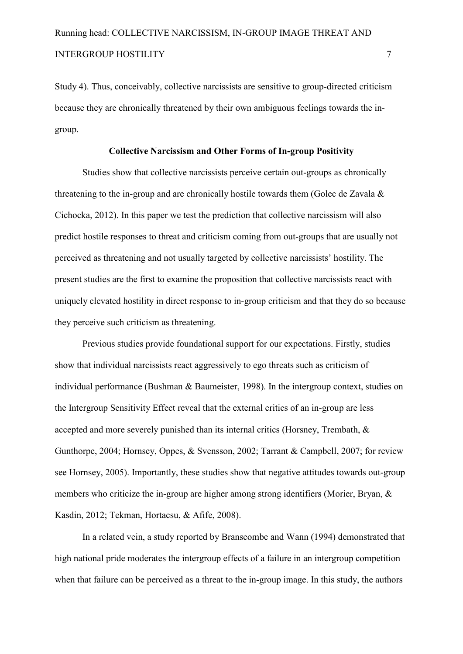Study 4). Thus, conceivably, collective narcissists are sensitive to group-directed criticism because they are chronically threatened by their own ambiguous feelings towards the in group.

#### Collective Narcissism and Other Forms of In-group Positivity

Studies show that collective narcissists perceive certain out-groups as chronically threatening to the in-group and are chronically hostile towards them (Golec de Zavala  $\&$ Cichocka, 2012). In this paper we test the prediction that collective narcissism will also predict hostile responses to threat and criticism coming from out-groups that are usually not perceived as threatening and not usually targeted by collective narcissists' hostility. The present studies are the first to examine the proposition that collective narcissists react with uniquely elevated hostility in direct response to in-group criticism and that they do so because they perceive such criticism as threatening.

Previous studies provide foundational support for our expectations. Firstly, studies show that individual narcissists react aggressively to ego threats such as criticism of individual performance (Bushman & Baumeister, 1998). In the intergroup context, studies on the Intergroup Sensitivity Effect reveal that the external critics of an in-group are less accepted and more severely punished than its internal critics (Horsney, Trembath, & Gunthorpe, 2004; Hornsey, Oppes, & Svensson, 2002; Tarrant & Campbell, 2007; for review see Hornsey, 2005). Importantly, these studies show that negative attitudes towards out-group members who criticize the in-group are higher among strong identifiers (Morier, Bryan,  $\&$ Kasdin, 2012; Tekman, Hortacsu, & Afife, 2008).

In a related vein, a study reported by Branscombe and Wann (1994) demonstrated that high national pride moderates the intergroup effects of a failure in an intergroup competition when that failure can be perceived as a threat to the in-group image. In this study, the authors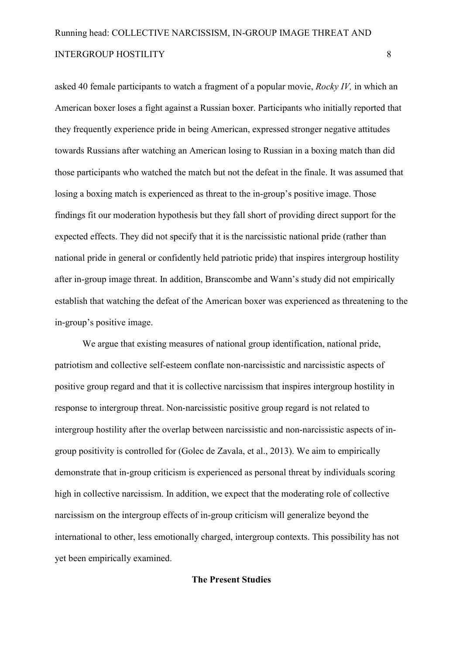asked 40 female participants to watch a fragment of a popular movie, *Rocky IV,* in which an American boxer loses a fight against a Russian boxer. Participants who initially reported that they frequently experience pride in being American, expressed stronger negative attitudes towards Russians after watching an American losing to Russian in a boxing match than did those participants who watched the match but not the defeat in the finale. It was assumed that losing a boxing match is experienced as threat to the in-group's positive image. Those findings fit our moderation hypothesis but they fall short of providing direct support for the expected effects. They did not specify that it is the narcissistic national pride (rather than national pride in general or confidently held patriotic pride) that inspires intergroup hostility after in-group image threat. In addition, Branscombe and Wann's study did not empirically establish that watching the defeat of the American boxer was experienced as threatening to the in-group's positive image.

We argue that existing measures of national group identification, national pride, patriotism and collective self-esteem conflate non-narcissistic and narcissistic aspects of positive group regard and that it is collective narcissism that inspires intergroup hostility in response to intergroup threat. Non-narcissistic positive group regard is not related to intergroup hostility after the overlap between narcissistic and non-narcissistic aspects of ingroup positivity is controlled for (Golec de Zavala, et al., 2013). We aim to empirically demonstrate that in-group criticism is experienced as personal threat by individuals scoring high in collective narcissism. In addition, we expect that the moderating role of collective narcissism on the intergroup effects of in-group criticism will generalize beyond the international to other, less emotionally charged, intergroup contexts. This possibility has not yet been empirically examined.

#### **The Present Studies**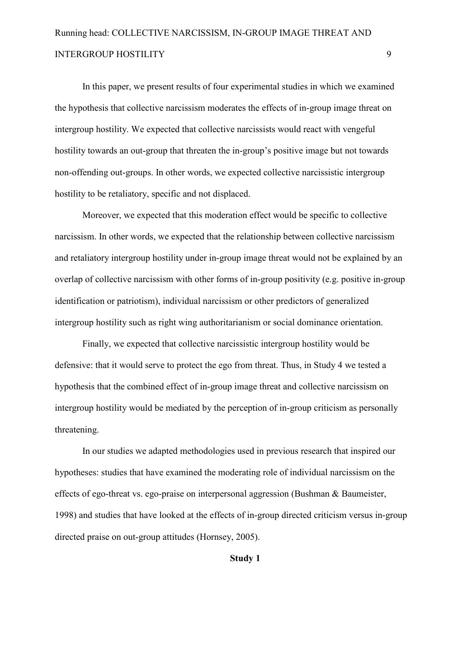In this paper, we present results of four experimental studies in which we examined the hypothesis that collective narcissism moderates the effects of in-group image threat on intergroup hostility. We expected that collective narcissists would react with vengeful hostility towards an out-group that threaten the in-group's positive image but not towards non-offending out-groups. In other words, we expected collective narcissistic intergroup hostility to be retaliatory, specific and not displaced.

Moreover, we expected that this moderation effect would be specific to collective narcissism. In other words, we expected that the relationship between collective narcissism and retaliatory intergroup hostility under in-group image threat would not be explained by an overlap of collective narcissism with other forms of in-group positivity (e.g. positive in-group identification or patriotism), individual narcissism or other predictors of generalized intergroup hostility such as right wing authoritarianism or social dominance orientation.

Finally, we expected that collective narcissistic intergroup hostility would be defensive: that it would serve to protect the ego from threat. Thus, in Study 4 we tested a hypothesis that the combined effect of in-group image threat and collective narcissism on intergroup hostility would be mediated by the perception of in-group criticism as personally threatening.

In our studies we adapted methodologies used in previous research that inspired our hypotheses: studies that have examined the moderating role of individual narcissism on the effects of ego-threat vs. ego-praise on interpersonal aggression (Bushman  $&$  Baumeister, 1998) and studies that have looked at the effects of in-group directed criticism versus in-group directed praise on out-group attitudes (Hornsey, 2005).

**Study 1**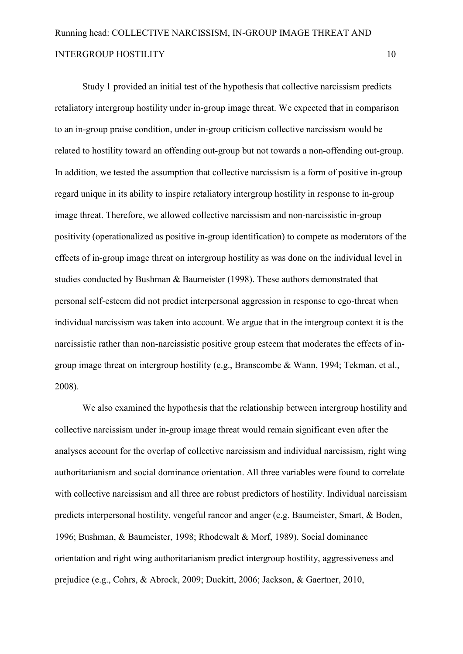Study 1 provided an initial test of the hypothesis that collective narcissism predicts retaliatory intergroup hostility under in-group image threat. We expected that in comparison to an in-group praise condition, under in-group criticism collective narcissism would be related to hostility toward an offending out-group but not towards a non-offending out-group. In addition, we tested the assumption that collective narcissism is a form of positive in-group regard unique in its ability to inspire retaliatory intergroup hostility in response to in-group image threat. Therefore, we allowed collective narcissism and non-narcissistic in-group positivity (operationalized as positive in-group identification) to compete as moderators of the effects of in-group image threat on intergroup hostility as was done on the individual level in studies conducted by Bushman & Baumeister (1998). These authors demonstrated that personal self-esteem did not predict interpersonal aggression in response to ego-threat when individual narcissism was taken into account. We argue that in the intergroup context it is the narcissistic rather than non-narcissistic positive group esteem that moderates the effects of ingroup image threat on intergroup hostility (e.g., Branscombe & Wann, 1994; Tekman, et al., 2008).

We also examined the hypothesis that the relationship between intergroup hostility and collective narcissism under in-group image threat would remain significant even after the analyses account for the overlap of collective narcissism and individual narcissism, right wing authoritarianism and social dominance orientation. All three variables were found to correlate with collective narcissism and all three are robust predictors of hostility. Individual narcissism predicts interpersonal hostility, vengeful rancor and anger (e.g. Baumeister, Smart, & Boden, 1996; Bushman, & Baumeister, 1998; Rhodewalt & Morf, 1989). Social dominance orientation and right wing authoritarianism predict intergroup hostility, aggressiveness and prejudice (e.g., Cohrs, & Abrock, 2009; Duckitt, 2006; Jackson, & Gaertner, 2010,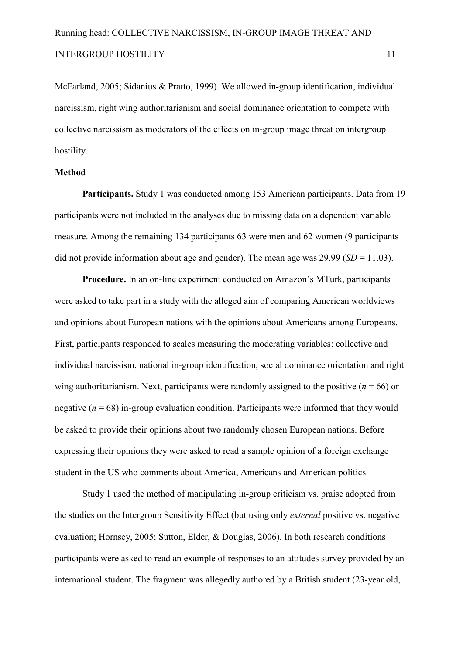McFarland, 2005; Sidanius & Pratto, 1999). We allowed in-group identification, individual narcissism, right wing authoritarianism and social dominance orientation to compete with collective narcissism as moderators of the effects on in-group image threat on intergroup hostility.

#### **Method**

**Participants.** Study 1 was conducted among 153 American participants. Data from 19 participants were not included in the analyses due to missing data on a dependent variable measure. Among the remaining 134 participants 63 were men and 62 women (9 participants did not provide information about age and gender). The mean age was 29.99 (*SD* = 11.03).

**Procedure.** In an on-line experiment conducted on Amazon's MTurk, participants were asked to take part in a study with the alleged aim of comparing American worldviews and opinions about European nations with the opinions about Americans among Europeans. First, participants responded to scales measuring the moderating variables: collective and individual narcissism, national in-group identification, social dominance orientation and right wing authoritarianism. Next, participants were randomly assigned to the positive  $(n = 66)$  or negative  $(n = 68)$  in-group evaluation condition. Participants were informed that they would be asked to provide their opinions about two randomly chosen European nations. Before expressing their opinions they were asked to read a sample opinion of a foreign exchange student in the US who comments about America, Americans and American politics.

Study 1 used the method of manipulating in-group criticism vs. praise adopted from the studies on the Intergroup Sensitivity Effect (but using only *external* positive vs. negative evaluation; Hornsey, 2005; Sutton, Elder, & Douglas, 2006). In both research conditions participants were asked to read an example of responses to an attitudes survey provided by an international student. The fragment was allegedly authored by a British student  $(23$ -year old,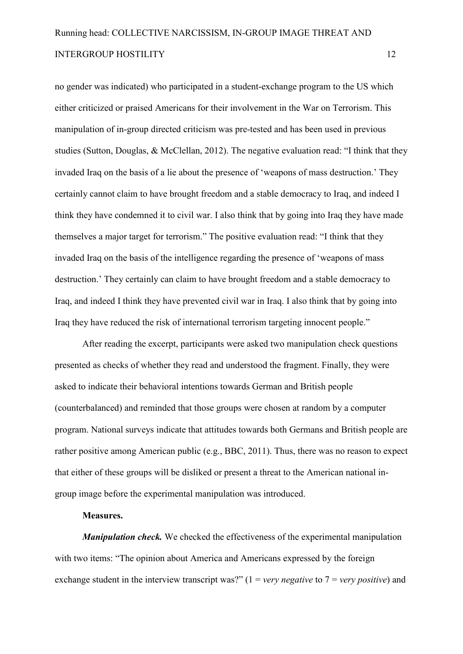no gender was indicated) who participated in a student-exchange program to the US which either criticized or praised Americans for their involvement in the War on Terrorism. This manipulation of in-group directed criticism was pre-tested and has been used in previous studies (Sutton, Douglas, & McClellan, 2012). The negative evaluation read: "I think that they invaded Iraq on the basis of a lie about the presence of 'weapons of mass destruction.' They certainly cannot claim to have brought freedom and a stable democracy to Iraq, and indeed I think they have condemned it to civil war. I also think that by going into Iraq they have made themselves a major target for terrorism." The positive evaluation read: "I think that they invaded Iraq on the basis of the intelligence regarding the presence of 'weapons of mass destruction.' They certainly can claim to have brought freedom and a stable democracy to Iraq, and indeed I think they have prevented civil war in Iraq. I also think that by going into Iraq they have reduced the risk of international terrorism targeting innocent people."

After reading the excerpt, participants were asked two manipulation check questions presented as checks of whether they read and understood the fragment. Finally, they were asked to indicate their behavioral intentions towards German and British people (counterbalanced) and reminded that those groups were chosen at random by a computer program. National surveys indicate that attitudes towards both Germans and British people are rather positive among American public (e.g., BBC, 2011). Thus, there was no reason to expect that either of these groups will be disliked or present a threat to the American national in group image before the experimental manipulation was introduced.

#### Measures.

*Manipulation check*. We checked the effectiveness of the experimental manipulation with two items: "The opinion about America and Americans expressed by the foreign exchange student in the interview transcript was?" (1 = *very negative* to 7 = *very positive*) and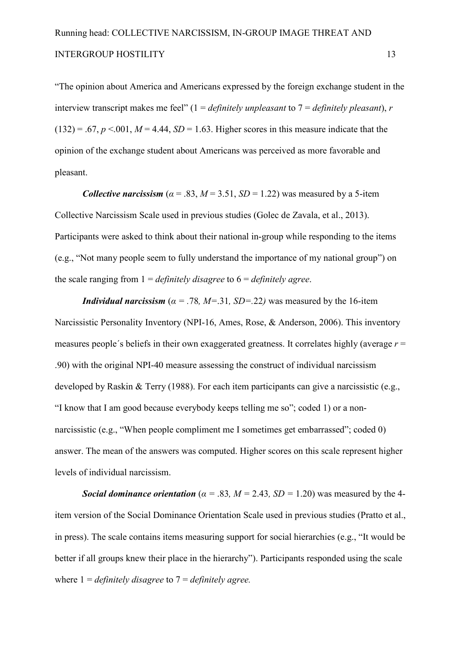"The opinion about America and Americans expressed by the foreign exchange student in the interview transcript makes me feel" (1 = *definitely unpleasant* to 7 = *definitely pleasant*), *r*   $(132) = .67$ ,  $p < .001$ ,  $M = 4.44$ ,  $SD = 1.63$ . Higher scores in this measure indicate that the opinion of the exchange student about Americans was perceived as more favorable and pleasant.

*Collective narcissism* ( $\alpha$  = .83,  $M$  = 3.51, *SD* = 1.22) was measured by a 5-item Collective Narcissism Scale used in previous studies (Golec de Zavala, et al., 2013). Participants were asked to think about their national in-group while responding to the items (e.g., "Not many people seem to fully understand the importance of my national group") on the scale ranging from 1 = *definitely disagree* to 6 = *definitely agree*.

*Individual narcissism* ( $\alpha$  = .78*, M*=.31*, SD*=.22*)* was measured by the 16-item Narcissistic Personality Inventory (NPI-16, Ames, Rose,  $\&$  Anderson, 2006). This inventory measures people´s beliefs in their own exaggerated greatness. It correlates highly (average *r* = .90) with the original NPI40 measure assessing the construct of individual narcissism developed by Raskin & Terry (1988). For each item participants can give a narcissistic (e.g., "I know that I am good because everybody keeps telling me so"; coded 1) or a non narcissistic (e.g., "When people compliment me I sometimes get embarrassed"; coded 0) answer. The mean of the answers was computed. Higher scores on this scale represent higher levels of individual narcissism.

**Social dominance orientation** ( $\alpha$  = .83,  $M$  = 2.43,  $SD$  = 1.20) was measured by the 4item version of the Social Dominance Orientation Scale used in previous studies (Pratto et al., in press). The scale contains items measuring support for social hierarchies (e.g., "It would be better if all groups knew their place in the hierarchy"). Participants responded using the scale where 1 = *definitely disagree* to 7 = *definitely agree.*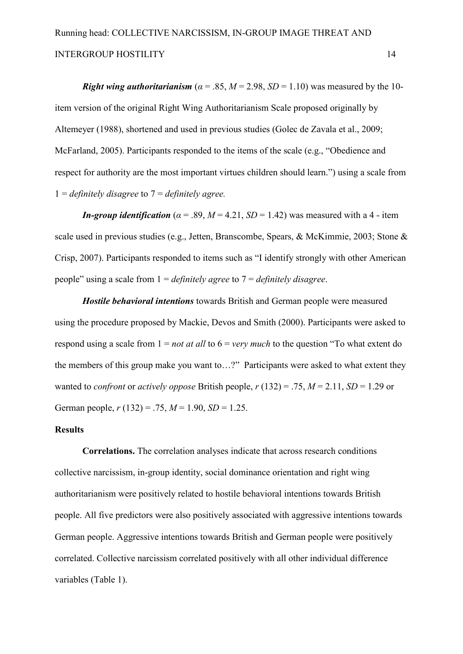*Right wing authoritarianism* ( $\alpha$  = .85,  $M$  = 2.98, *SD* = 1.10) was measured by the 10item version of the original Right Wing Authoritarianism Scale proposed originally by Altemeyer (1988), shortened and used in previous studies (Golec de Zavala et al., 2009; McFarland, 2005). Participants responded to the items of the scale (e.g., "Obedience and respect for authority are the most important virtues children should learn.") using a scale from 1 = *definitely disagree* to 7 = *definitely agree.*

*In-group identification* ( $\alpha$  = .89,  $M$  = 4.21,  $SD$  = 1.42) was measured with a 4 - item scale used in previous studies (e.g., Jetten, Branscombe, Spears, & McKimmie, 2003; Stone & Crisp, 2007). Participants responded to items such as "I identify strongly with other American people" using a scale from 1 = *definitely agree* to 7 = *definitely disagree*.

Hostile behavioral intentions towards British and German people were measured using the procedure proposed by Mackie, Devos and Smith (2000). Participants were asked to respond using a scale from 1 = *not at all* to 6 = *very much* to the question "To what extent do the members of this group make you want to…?" Participants were asked to what extent they wanted to *confront* or *actively oppose* British people,  $r(132) = .75$ ,  $M = 2.11$ ,  $SD = 1.29$  or German people, *r* (132) = .75, *M* = 1.90, *SD* = 1.25.

#### **Results**

**Correlations.** The correlation analyses indicate that across research conditions collective narcissism, in-group identity, social dominance orientation and right wing authoritarianism were positively related to hostile behavioral intentions towards British people. All five predictors were also positively associated with aggressive intentions towards German people. Aggressive intentions towards British and German people were positively correlated. Collective narcissism correlated positively with all other individual difference variables (Table 1).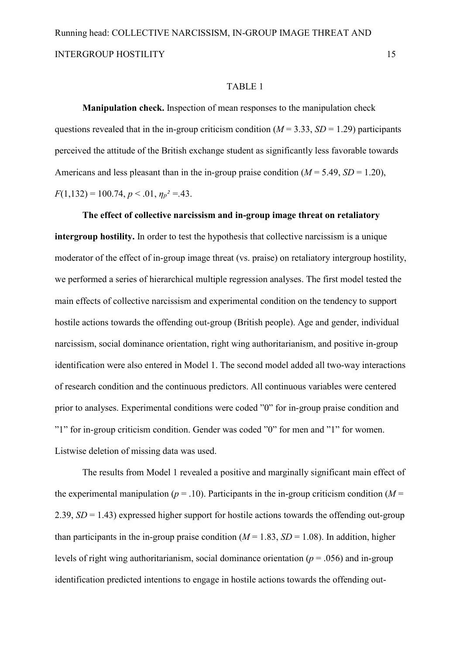#### TABLE 1

**Manipulation check.** Inspection of mean responses to the manipulation check questions revealed that in the in-group criticism condition ( $M = 3.33$ ,  $SD = 1.29$ ) participants perceived the attitude of the British exchange student as significantly less favorable towards Americans and less pleasant than in the in-group praise condition  $(M = 5.49, SD = 1.20)$ ,  $F(1,132) = 100.74, p \le 0.01, \eta_p^2 = 0.43.$ 

The effect of collective narcissism and in-group image threat on retaliatory **intergroup hostility.** In order to test the hypothesis that collective narcissism is a unique moderator of the effect of in-group image threat (vs. praise) on retaliatory intergroup hostility, we performed a series of hierarchical multiple regression analyses. The first model tested the main effects of collective narcissism and experimental condition on the tendency to support hostile actions towards the offending out-group (British people). Age and gender, individual narcissism, social dominance orientation, right wing authoritarianism, and positive in-group identification were also entered in Model 1. The second model added all two-way interactions of research condition and the continuous predictors. All continuous variables were centered prior to analyses. Experimental conditions were coded "0" for in-group praise condition and "1" for in-group criticism condition. Gender was coded "0" for men and "1" for women. Listwise deletion of missing data was used.

The results from Model 1 revealed a positive and marginally significant main effect of the experimental manipulation ( $p = .10$ ). Participants in the in-group criticism condition ( $M =$ 2.39,  $SD = 1.43$ ) expressed higher support for hostile actions towards the offending out-group than participants in the in-group praise condition ( $M = 1.83$ ,  $SD = 1.08$ ). In addition, higher levels of right wing authoritarianism, social dominance orientation ( $p = .056$ ) and in-group identification predicted intentions to engage in hostile actions towards the offending out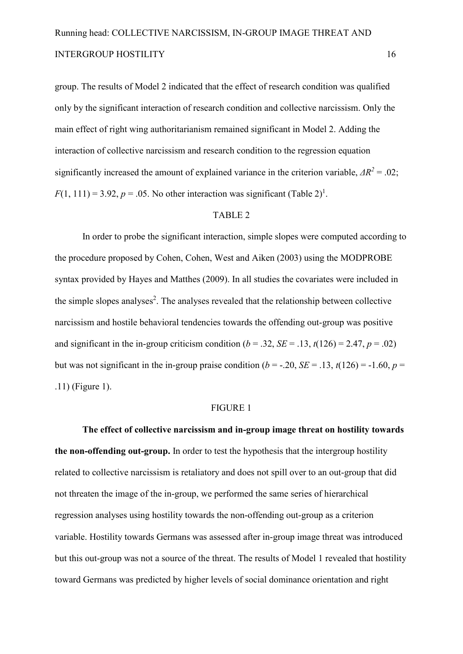group. The results of Model 2 indicated that the effect of research condition was qualified only by the significant interaction of research condition and collective narcissism. Only the main effect of right wing authoritarianism remained significant in Model 2. Adding the interaction of collective narcissism and research condition to the regression equation significantly increased the amount of explained variance in the criterion variable,  $\Delta R^2 = .02$ ;  $F(1, 111) = 3.92, p = .05$ . No other interaction was significant (Table 2)<sup>1</sup>.

#### TABLE 2

In order to probe the significant interaction, simple slopes were computed according to the procedure proposed by Cohen, Cohen, West and Aiken (2003) using the MODPROBE syntax provided by Hayes and Matthes (2009). In all studies the covariates were included in the simple slopes analyses<sup>2</sup>. The analyses revealed that the relationship between collective narcissism and hostile behavioral tendencies towards the offending out-group was positive and significant in the in-group criticism condition ( $b = .32$ ,  $SE = .13$ ,  $t(126) = 2.47$ ,  $p = .02$ ) but was not significant in the in-group praise condition ( $b = -.20$ ,  $SE = .13$ ,  $t(126) = -1.60$ ,  $p =$ .11) (Figure 1).

#### FIGURE 1

The effect of collective narcissism and in-group image threat on hostility towards **the non-offending out-group.** In order to test the hypothesis that the intergroup hostility related to collective narcissism is retaliatory and does not spill over to an out-group that did not threaten the image of the in-group, we performed the same series of hierarchical regression analyses using hostility towards the non-offending out-group as a criterion variable. Hostility towards Germans was assessed after in-group image threat was introduced but this out-group was not a source of the threat. The results of Model 1 revealed that hostility toward Germans was predicted by higher levels of social dominance orientation and right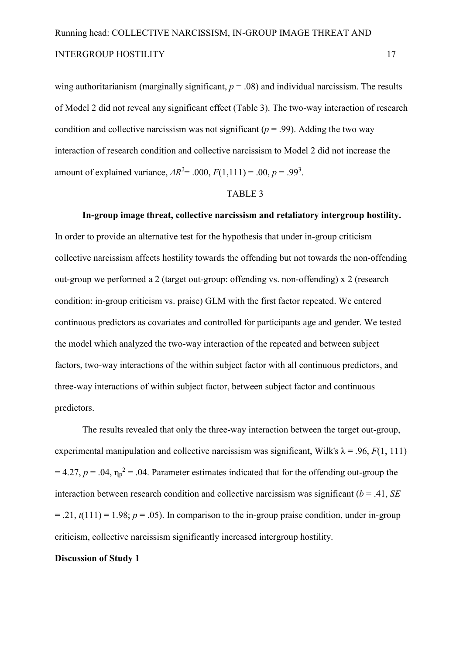wing authoritarianism (marginally significant,  $p = .08$ ) and individual narcissism. The results of Model 2 did not reveal any significant effect (Table 3). The two-way interaction of research condition and collective narcissism was not significant ( $p = .99$ ). Adding the two way interaction of research condition and collective narcissism to Model 2 did not increase the amount of explained variance,  $\Delta R^2 = .000$ ,  $F(1,111) = .00$ ,  $p = .99^3$ .

#### TABLE 3

In-group image threat, collective narcissism and retaliatory intergroup hostility. In order to provide an alternative test for the hypothesis that under in-group criticism collective narcissism affects hostility towards the offending but not towards the non-offending out-group we performed a 2 (target out-group: offending vs. non-offending) x 2 (research condition: in-group criticism vs. praise) GLM with the first factor repeated. We entered continuous predictors as covariates and controlled for participants age and gender. We tested the model which analyzed the two-way interaction of the repeated and between subject factors, two-way interactions of the within subject factor with all continuous predictors, and three-way interactions of within subject factor, between subject factor and continuous predictors.

The results revealed that only the three-way interaction between the target out-group, experimental manipulation and collective narcissism was significant, Wilk's  $\lambda$  = .96, *F*(1, 111)  $= 4.27, p = .04, \eta_p^2 = .04$ . Parameter estimates indicated that for the offending out-group the interaction between research condition and collective narcissism was significant (*b* = .41, *SE*  $=$  .21,  $t(111) = 1.98$ ;  $p = .05$ ). In comparison to the in-group praise condition, under in-group criticism, collective narcissism significantly increased intergroup hostility.

#### **Discussion of Study 1**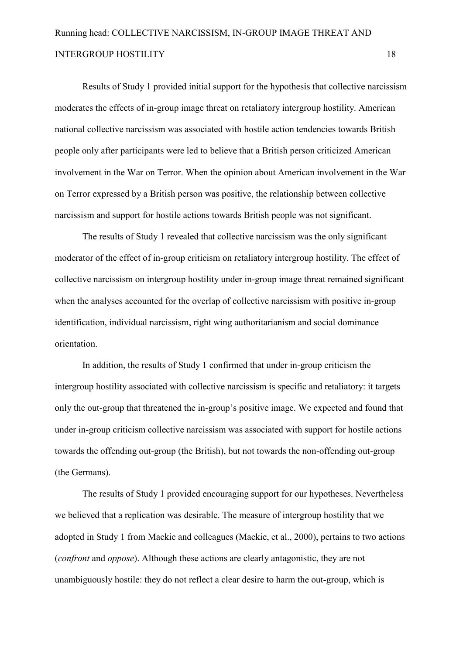Results of Study 1 provided initial support for the hypothesis that collective narcissism moderates the effects of in-group image threat on retaliatory intergroup hostility. American national collective narcissism was associated with hostile action tendencies towards British people only after participants were led to believe that a British person criticized American involvement in the War on Terror. When the opinion about American involvement in the War on Terror expressed by a British person was positive, the relationship between collective narcissism and support for hostile actions towards British people was not significant.

The results of Study 1 revealed that collective narcissism was the only significant moderator of the effect of in-group criticism on retaliatory intergroup hostility. The effect of collective narcissism on intergroup hostility under in-group image threat remained significant when the analyses accounted for the overlap of collective narcissism with positive in-group identification, individual narcissism, right wing authoritarianism and social dominance orientation.

In addition, the results of Study 1 confirmed that under in-group criticism the intergroup hostility associated with collective narcissism is specific and retaliatory: it targets only the out-group that threatened the in-group's positive image. We expected and found that under in-group criticism collective narcissism was associated with support for hostile actions towards the offending out-group (the British), but not towards the non-offending out-group (the Germans).

The results of Study 1 provided encouraging support for our hypotheses. Nevertheless we believed that a replication was desirable. The measure of intergroup hostility that we adopted in Study 1 from Mackie and colleagues (Mackie, et al., 2000), pertains to two actions (*confront* and *oppose*). Although these actions are clearly antagonistic, they are not unambiguously hostile: they do not reflect a clear desire to harm the out-group, which is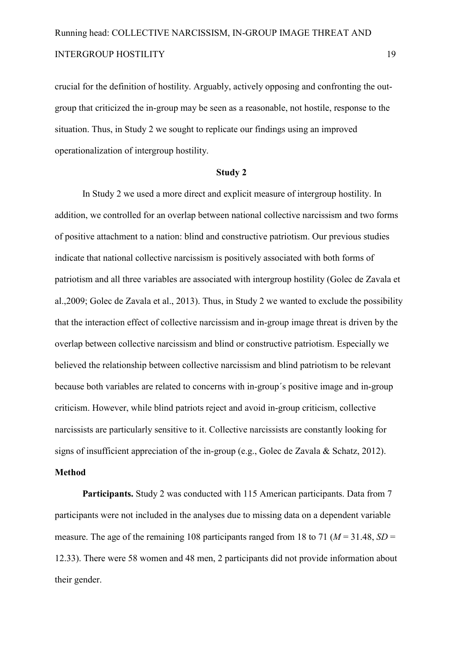crucial for the definition of hostility. Arguably, actively opposing and confronting the out group that criticized the in-group may be seen as a reasonable, not hostile, response to the situation. Thus, in Study 2 we sought to replicate our findings using an improved operationalization of intergroup hostility.

#### **Study 2**

In Study 2 we used a more direct and explicit measure of intergroup hostility. In addition, we controlled for an overlap between national collective narcissism and two forms of positive attachment to a nation: blind and constructive patriotism. Our previous studies indicate that national collective narcissism is positively associated with both forms of patriotism and all three variables are associated with intergroup hostility (Golec de Zavala et al.,2009; Golec de Zavala et al., 2013). Thus, in Study 2 we wanted to exclude the possibility that the interaction effect of collective narcissism and in-group image threat is driven by the overlap between collective narcissism and blind or constructive patriotism. Especially we believed the relationship between collective narcissism and blind patriotism to be relevant because both variables are related to concerns with in-group's positive image and in-group criticism. However, while blind patriots reject and avoid in-group criticism, collective narcissists are particularly sensitive to it. Collective narcissists are constantly looking for signs of insufficient appreciation of the in-group (e.g., Golec de Zavala & Schatz, 2012).

#### **Method**

Participants. Study 2 was conducted with 115 American participants. Data from 7 participants were not included in the analyses due to missing data on a dependent variable measure. The age of the remaining 108 participants ranged from 18 to 71 ( $M = 31.48$ ,  $SD =$ 12.33). There were 58 women and 48 men, 2 participants did not provide information about their gender.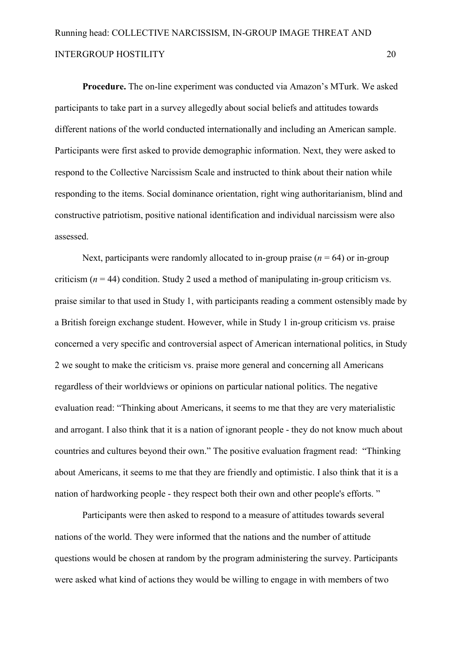**Procedure.** The on-line experiment was conducted via Amazon's MTurk. We asked participants to take part in a survey allegedly about social beliefs and attitudes towards different nations of the world conducted internationally and including an American sample. Participants were first asked to provide demographic information. Next, they were asked to respond to the Collective Narcissism Scale and instructed to think about their nation while responding to the items. Social dominance orientation, right wing authoritarianism, blind and constructive patriotism, positive national identification and individual narcissism were also assessed.

Next, participants were randomly allocated to in-group praise  $(n = 64)$  or in-group criticism  $(n = 44)$  condition. Study 2 used a method of manipulating in-group criticism vs. praise similar to that used in Study 1, with participants reading a comment ostensibly made by a British foreign exchange student. However, while in Study 1 in-group criticism vs. praise concerned a very specific and controversial aspect of American international politics, in Study 2 we sought to make the criticism vs. praise more general and concerning all Americans regardless of their worldviews or opinions on particular national politics. The negative evaluation read: "Thinking about Americans, it seems to me that they are very materialistic and arrogant. I also think that it is a nation of ignorant people - they do not know much about countries and cultures beyond their own." The positive evaluation fragment read: "Thinking about Americans, it seems to me that they are friendly and optimistic. I also think that it is a nation of hardworking people - they respect both their own and other people's efforts."

Participants were then asked to respond to a measure of attitudes towards several nations of the world. They were informed that the nations and the number of attitude questions would be chosen at random by the program administering the survey. Participants were asked what kind of actions they would be willing to engage in with members of two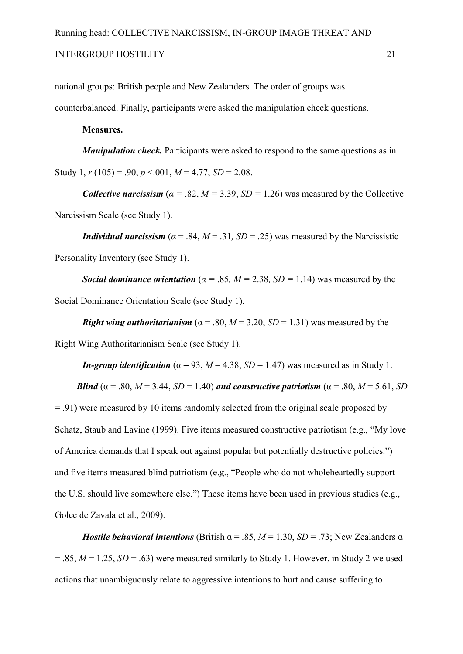#### INTERGROUP HOSTILITY 21

national groups: British people and New Zealanders. The order of groups was

counterbalanced. Finally, participants were asked the manipulation check questions.

#### **Measures.**

*Manipulation check*. Participants were asked to respond to the same questions as in Study 1,  $r(105) = .90$ ,  $p < .001$ ,  $M = 4.77$ ,  $SD = 2.08$ .

*Collective narcissism* ( $\alpha = .82$ ,  $M = 3.39$ ,  $SD = 1.26$ ) was measured by the Collective Narcissism Scale (see Study 1).

*Individual narcissism* ( $\alpha$  = .84,  $M = 0.31$ ,  $SD = 0.25$ ) was measured by the Narcissistic Personality Inventory (see Study 1).

*Social dominance orientation* ( $\alpha$  = .85,  $M$  = 2.38,  $SD$  = 1.14) was measured by the Social Dominance Orientation Scale (see Study 1).

*Right wing authoritarianism* ( $\alpha$  = .80, *M* = 3.20, *SD* = 1.31) was measured by the Right Wing Authoritarianism Scale (see Study 1).

*In-group identification* ( $\alpha$  = 93, *M* = 4.38, *SD* = 1.47) was measured as in Study 1.

**Blind** ( $\alpha$  = .80, *M* = 3.44, *SD* = 1.40) *and constructive patriotism* ( $\alpha$  = .80, *M* = 5.61, *SD* 

= .91) were measured by 10 items randomly selected from the original scale proposed by Schatz, Staub and Lavine (1999). Five items measured constructive patriotism (e.g., "My love of America demands that I speak out against popular but potentially destructive policies.") and five items measured blind patriotism (e.g., "People who do not wholeheartedly support the U.S. should live somewhere else.") These items have been used in previous studies (e.g., Golec de Zavala et al., 2009).

*Hostile behavioral intentions* (British  $\alpha$  = .85,  $M$  = 1.30, *SD* = .73; New Zealanders  $\alpha$  $= .85$ ,  $M = 1.25$ ,  $SD = .63$ ) were measured similarly to Study 1. However, in Study 2 we used actions that unambiguously relate to aggressive intentions to hurt and cause suffering to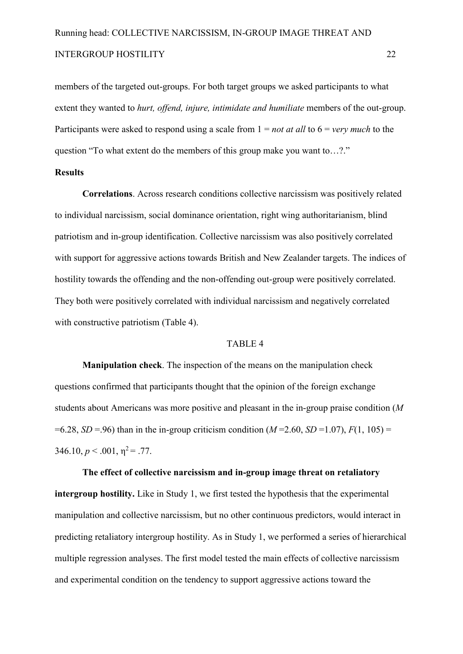members of the targeted out-groups. For both target groups we asked participants to what extent they wanted to *hurt, offend, injure, intimidate and humiliate* members of the out-group. Participants were asked to respond using a scale from 1 = *not at all* to 6 = *very much* to the question "To what extent do the members of this group make you want to…?."

#### **Results**

**Correlations**. Across research conditions collective narcissism was positively related to individual narcissism, social dominance orientation, right wing authoritarianism, blind patriotism and in-group identification. Collective narcissism was also positively correlated with support for aggressive actions towards British and New Zealander targets. The indices of hostility towards the offending and the non-offending out-group were positively correlated. They both were positively correlated with individual narcissism and negatively correlated with constructive patriotism (Table 4).

#### TABLE 4

**Manipulation check**. The inspection of the means on the manipulation check questions confirmed that participants thought that the opinion of the foreign exchange students about Americans was more positive and pleasant in the in-group praise condition (*M*  $=6.28$ , *SD* = 96) than in the in-group criticism condition (*M* = 2.60, *SD* = 1.07), *F*(1, 105) =  $346.10, p < .001, \eta^2 = .77$ .

The effect of collective narcissism and in-group image threat on retaliatory **intergroup hostility.** Like in Study 1, we first tested the hypothesis that the experimental manipulation and collective narcissism, but no other continuous predictors, would interact in predicting retaliatory intergroup hostility. As in Study 1, we performed a series of hierarchical multiple regression analyses. The first model tested the main effects of collective narcissism and experimental condition on the tendency to support aggressive actions toward the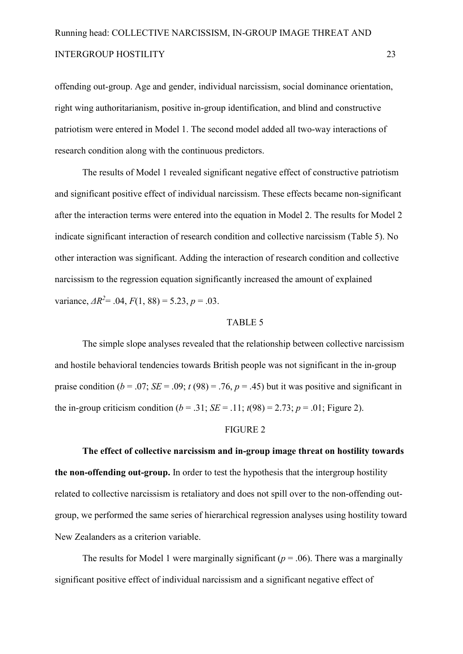offending out-group. Age and gender, individual narcissism, social dominance orientation, right wing authoritarianism, positive in-group identification, and blind and constructive patriotism were entered in Model 1. The second model added all two-way interactions of research condition along with the continuous predictors.

The results of Model 1 revealed significant negative effect of constructive patriotism and significant positive effect of individual narcissism. These effects became nonsignificant after the interaction terms were entered into the equation in Model 2. The results for Model 2 indicate significant interaction of research condition and collective narcissism (Table 5). No other interaction was significant. Adding the interaction of research condition and collective narcissism to the regression equation significantly increased the amount of explained variance,  $\Delta R^2$  = .04,  $F(1, 88)$  = 5.23,  $p = .03$ .

#### TABLE 5

The simple slope analyses revealed that the relationship between collective narcissism and hostile behavioral tendencies towards British people was not significant in the in-group praise condition ( $b = .07$ ; *SE* = .09;  $t$  (98) = .76,  $p = .45$ ) but it was positive and significant in the in-group criticism condition ( $b = .31$ ; *SE* = .11;  $t(98) = 2.73$ ;  $p = .01$ ; Figure 2).

#### FIGURE 2

The effect of collective narcissism and in-group image threat on hostility towards **the non-offending out-group.** In order to test the hypothesis that the intergroup hostility related to collective narcissism is retaliatory and does not spill over to the non-offending outgroup, we performed the same series of hierarchical regression analyses using hostility toward New Zealanders as a criterion variable.

The results for Model 1 were marginally significant ( $p = .06$ ). There was a marginally significant positive effect of individual narcissism and a significant negative effect of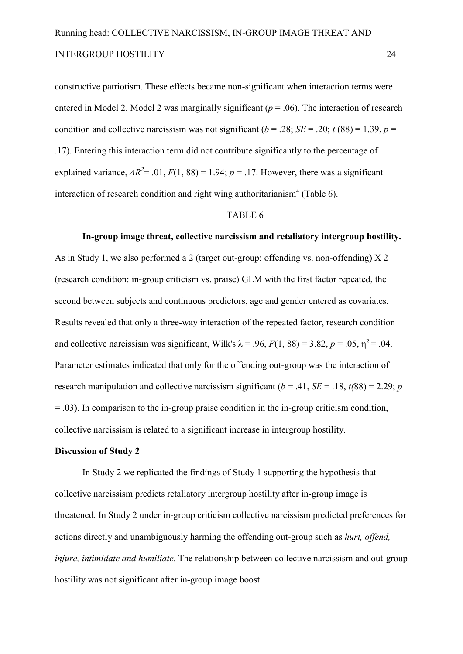constructive patriotism. These effects became non-significant when interaction terms were entered in Model 2. Model 2 was marginally significant ( $p = .06$ ). The interaction of research condition and collective narcissism was not significant ( $b = .28$ ; *SE* = .20; *t* (88) = 1.39, *p* = .17). Entering this interaction term did not contribute significantly to the percentage of explained variance,  $\Delta R^2$  = .01,  $F(1, 88)$  = 1.94;  $p = 0.17$ . However, there was a significant interaction of research condition and right wing authoritarianism<sup>4</sup> (Table 6).

#### TABLE 6

#### In-group image threat, collective narcissism and retaliatory intergroup hostility.

As in Study 1, we also performed a 2 (target out-group: offending vs. non-offending)  $X$  2 (research condition: in-group criticism vs. praise) GLM with the first factor repeated, the second between subjects and continuous predictors, age and gender entered as covariates. Results revealed that only a three-way interaction of the repeated factor, research condition and collective narcissism was significant, Wilk's  $\lambda = .96$ ,  $F(1, 88) = 3.82$ ,  $p = .05$ ,  $\eta^2 = .04$ . Parameter estimates indicated that only for the offending out-group was the interaction of research manipulation and collective narcissism significant ( $b = .41$ ,  $SE = .18$ ,  $t(88) = 2.29$ ; *p*  $= .03$ ). In comparison to the in-group praise condition in the in-group criticism condition, collective narcissism is related to a significant increase in intergroup hostility.

#### **Discussion of Study 2**

In Study 2 we replicated the findings of Study 1 supporting the hypothesis that collective narcissism predicts retaliatory intergroup hostility after in-group image is threatened. In Study 2 under in-group criticism collective narcissism predicted preferences for actions directly and unambiguously harming the offending out-group such as *hurt, offend, injure, intimidate and humiliate.* The relationship between collective narcissism and out-group hostility was not significant after in-group image boost.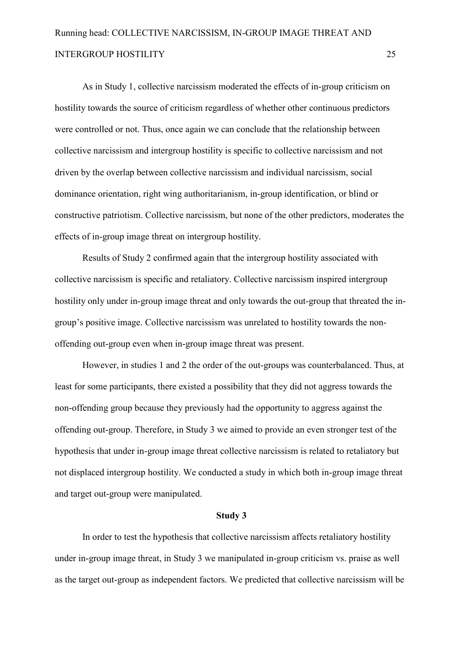As in Study 1, collective narcissism moderated the effects of in-group criticism on hostility towards the source of criticism regardless of whether other continuous predictors were controlled or not. Thus, once again we can conclude that the relationship between collective narcissism and intergroup hostility is specific to collective narcissism and not driven by the overlap between collective narcissism and individual narcissism, social dominance orientation, right wing authoritarianism, in-group identification, or blind or constructive patriotism. Collective narcissism, but none of the other predictors, moderates the effects of in-group image threat on intergroup hostility.

Results of Study 2 confirmed again that the intergroup hostility associated with collective narcissism is specific and retaliatory. Collective narcissism inspired intergroup hostility only under in-group image threat and only towards the out-group that threated the ingroup's positive image. Collective narcissism was unrelated to hostility towards the non offending out-group even when in-group image threat was present.

However, in studies 1 and 2 the order of the out-groups was counterbalanced. Thus, at least for some participants, there existed a possibility that they did not aggress towards the non-offending group because they previously had the opportunity to aggress against the offending out-group. Therefore, in Study 3 we aimed to provide an even stronger test of the hypothesis that under in-group image threat collective narcissism is related to retaliatory but not displaced intergroup hostility. We conducted a study in which both in-group image threat and target out-group were manipulated.

#### **Study 3**

In order to test the hypothesis that collective narcissism affects retaliatory hostility under in-group image threat, in Study 3 we manipulated in-group criticism vs. praise as well as the target out-group as independent factors. We predicted that collective narcissism will be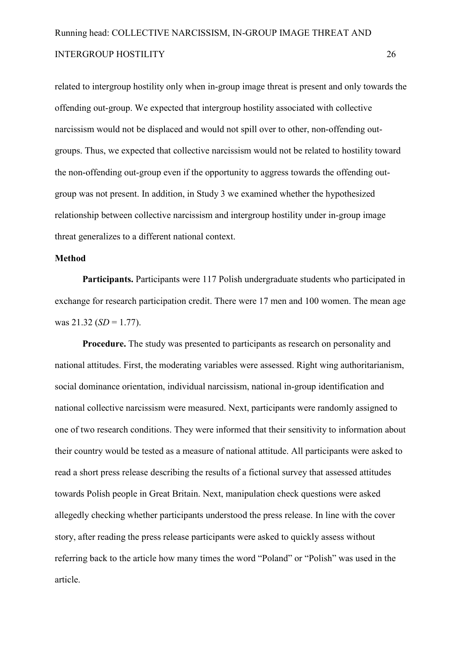related to intergroup hostility only when in-group image threat is present and only towards the offending out-group. We expected that intergroup hostility associated with collective narcissism would not be displaced and would not spill over to other, non-offending outgroups. Thus, we expected that collective narcissism would not be related to hostility toward the non-offending out-group even if the opportunity to aggress towards the offending outgroup was not present. In addition, in Study 3 we examined whether the hypothesized relationship between collective narcissism and intergroup hostility under in-group image threat generalizes to a different national context.

#### **Method**

Participants. Participants were 117 Polish undergraduate students who participated in exchange for research participation credit. There were 17 men and 100 women. The mean age was 21.32 (*SD* = 1.77).

**Procedure.** The study was presented to participants as research on personality and national attitudes. First, the moderating variables were assessed. Right wing authoritarianism, social dominance orientation, individual narcissism, national in-group identification and national collective narcissism were measured. Next, participants were randomly assigned to one of two research conditions. They were informed that their sensitivity to information about their country would be tested as a measure of national attitude. All participants were asked to read a short press release describing the results of a fictional survey that assessed attitudes towards Polish people in Great Britain. Next, manipulation check questions were asked allegedly checking whether participants understood the press release. In line with the cover story, after reading the press release participants were asked to quickly assess without referring back to the article how many times the word "Poland" or "Polish" was used in the article.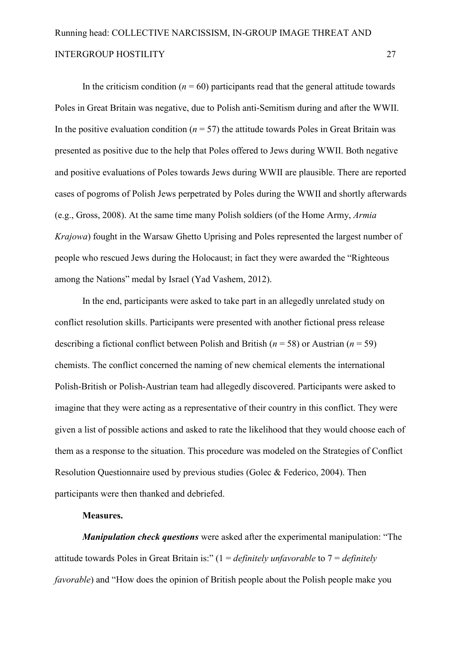In the criticism condition  $(n = 60)$  participants read that the general attitude towards Poles in Great Britain was negative, due to Polish anti-Semitism during and after the WWII. In the positive evaluation condition  $(n = 57)$  the attitude towards Poles in Great Britain was presented as positive due to the help that Poles offered to Jews during WWII. Both negative and positive evaluations of Poles towards Jews during WWII are plausible. There are reported cases of pogroms of Polish Jews perpetrated by Poles during the WWII and shortly afterwards (e.g., Gross, 2008). At the same time many Polish soldiers (of the Home Army, *Armia Krajowa*) fought in the Warsaw Ghetto Uprising and Poles represented the largest number of people who rescued Jews during the Holocaust; in fact they were awarded the "Righteous among the Nations" medal by Israel (Yad Vashem, 2012).

In the end, participants were asked to take part in an allegedly unrelated study on conflict resolution skills. Participants were presented with another fictional press release describing a fictional conflict between Polish and British (*n* = 58) or Austrian (*n* = 59) chemists. The conflict concerned the naming of new chemical elements the international Polish-British or Polish-Austrian team had allegedly discovered. Participants were asked to imagine that they were acting as a representative of their country in this conflict. They were given a list of possible actions and asked to rate the likelihood that they would choose each of them as a response to the situation. This procedure was modeled on the Strategies of Conflict Resolution Questionnaire used by previous studies (Golec & Federico, 2004). Then participants were then thanked and debriefed.

#### **Measures.**

*Manipulation check questions* were asked after the experimental manipulation: "The attitude towards Poles in Great Britain is:" (1 = *definitely unfavorable* to 7 = *definitely favorable*) and "How does the opinion of British people about the Polish people make you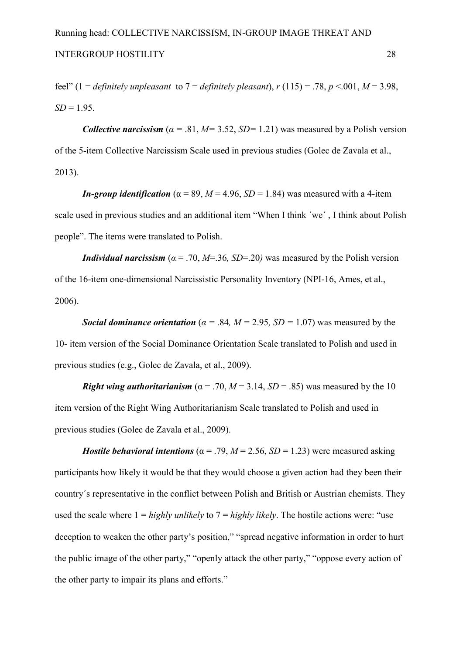feel" (1 = *definitely unpleasant* to  $7 =$  *definitely pleasant*),  $r(115) = .78$ ,  $p < .001$ ,  $M = 3.98$ ,  $SD = 1.95$ .

*Collective narcissism* ( $\alpha$  = .81,  $M$  = 3.52,  $SD$  = 1.21) was measured by a Polish version of the 5-item Collective Narcissism Scale used in previous studies (Golec de Zavala et al., 2013).

*In-group identification* ( $\alpha$  = 89, *M* = 4.96, *SD* = 1.84) was measured with a 4-item scale used in previous studies and an additional item "When I think ´we´ , I think about Polish people". The items were translated to Polish.

*Individual narcissism* ( $\alpha$  = .70, *M*=.36*, SD*=.20*)* was measured by the Polish version of the 16-item one-dimensional Narcissistic Personality Inventory (NPI-16, Ames, et al., 2006).

*Social dominance orientation* ( $\alpha$  = .84*, M* = 2.95*, SD* = 1.07) was measured by the 10 item version of the Social Dominance Orientation Scale translated to Polish and used in previous studies (e.g., Golec de Zavala, et al., 2009).

*Right wing authoritarianism* ( $\alpha$  = .70, *M* = 3.14, *SD* = .85) was measured by the 10 item version of the Right Wing Authoritarianism Scale translated to Polish and used in previous studies (Golec de Zavala et al., 2009).

*Hostile behavioral intentions* ( $\alpha$  = .79, *M* = 2.56, *SD* = 1.23) were measured asking participants how likely it would be that they would choose a given action had they been their country´s representative in the conflict between Polish and British or Austrian chemists. They used the scale where 1 = *highly unlikely* to 7 = *highly likely*. The hostile actions were: "use deception to weaken the other party's position," "spread negative information in order to hurt the public image of the other party," "openly attack the other party," "oppose every action of the other party to impair its plans and efforts."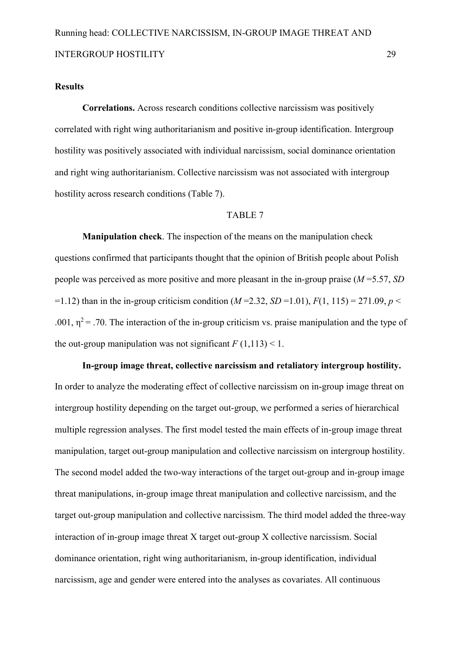#### **Results**

Correlations. Across research conditions collective narcissism was positively correlated with right wing authoritarianism and positive in-group identification. Intergroup hostility was positively associated with individual narcissism, social dominance orientation and right wing authoritarianism. Collective narcissism was not associated with intergroup hostility across research conditions (Table 7).

#### TABLE 7

**Manipulation check**. The inspection of the means on the manipulation check questions confirmed that participants thought that the opinion of British people about Polish people was perceived as more positive and more pleasant in the in-group praise  $(M=5.57, SD)$ =1.12) than in the in-group criticism condition ( $M = 2.32$ ,  $SD = 1.01$ ),  $F(1, 115) = 271.09$ ,  $p <$ .001,  $\eta^2$  = .70. The interaction of the in-group criticism vs. praise manipulation and the type of the out-group manipulation was not significant  $F(1,113) < 1$ .

In-group image threat, collective narcissism and retaliatory intergroup hostility. In order to analyze the moderating effect of collective narcissism on in-group image threat on intergroup hostility depending on the target out-group, we performed a series of hierarchical multiple regression analyses. The first model tested the main effects of in-group image threat manipulation, target out-group manipulation and collective narcissism on intergroup hostility. The second model added the two-way interactions of the target out-group and in-group image threat manipulations, in-group image threat manipulation and collective narcissism, and the target out-group manipulation and collective narcissism. The third model added the three-way interaction of in-group image threat  $X$  target out-group  $X$  collective narcissism. Social dominance orientation, right wing authoritarianism, in-group identification, individual narcissism, age and gender were entered into the analyses as covariates. All continuous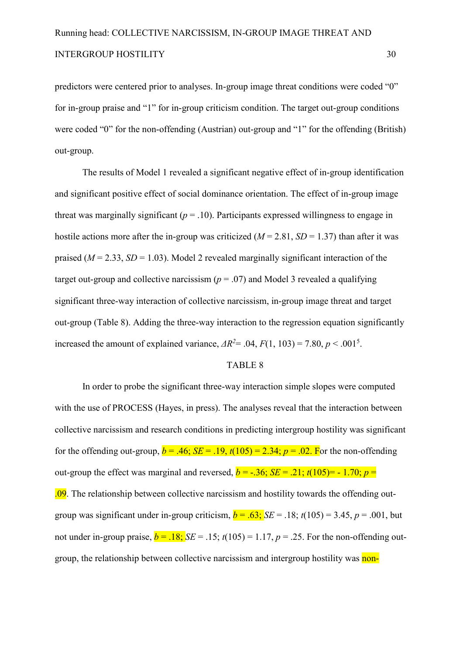predictors were centered prior to analyses. In-group image threat conditions were coded "0" for in-group praise and "1" for in-group criticism condition. The target out-group conditions were coded "0" for the non-offending (Austrian) out-group and "1" for the offending (British) out-group.

The results of Model 1 revealed a significant negative effect of in-group identification and significant positive effect of social dominance orientation. The effect of in-group image threat was marginally significant  $(p = .10)$ . Participants expressed willingness to engage in hostile actions more after the in-group was criticized ( $M = 2.81$ ,  $SD = 1.37$ ) than after it was praised  $(M = 2.33, SD = 1.03)$ . Model 2 revealed marginally significant interaction of the target out-group and collective narcissism ( $p = .07$ ) and Model 3 revealed a qualifying significant three-way interaction of collective narcissism, in-group image threat and target out-group (Table 8). Adding the three-way interaction to the regression equation significantly increased the amount of explained variance,  $\Delta R^2$  = .04,  $F(1, 103)$  = 7.80,  $p$  < .001<sup>5</sup>.

#### TABLE 8

In order to probe the significant three-way interaction simple slopes were computed with the use of PROCESS (Hayes, in press). The analyses reveal that the interaction between collective narcissism and research conditions in predicting intergroup hostility was significant for the offending out-group,  $b = .46$ ;  $SE = .19$ ,  $t(105) = 2.34$ ;  $p = .02$ . For the non-offending out-group the effect was marginal and reversed,  $b = -0.36$ ;  $SE = 0.21$ ;  $t(105) = -0.170$ ;  $p = 0.05$ .09. The relationship between collective narcissism and hostility towards the offending outgroup was significant under in-group criticism,  $b = .63$ ; *SE* = .18;  $t(105) = 3.45$ ,  $p = .001$ , but not under in-group praise,  $b = .18$ ;  $SE = .15$ ;  $t(105) = 1.17$ ,  $p = .25$ . For the non-offending outgroup, the relationship between collective narcissism and intergroup hostility was non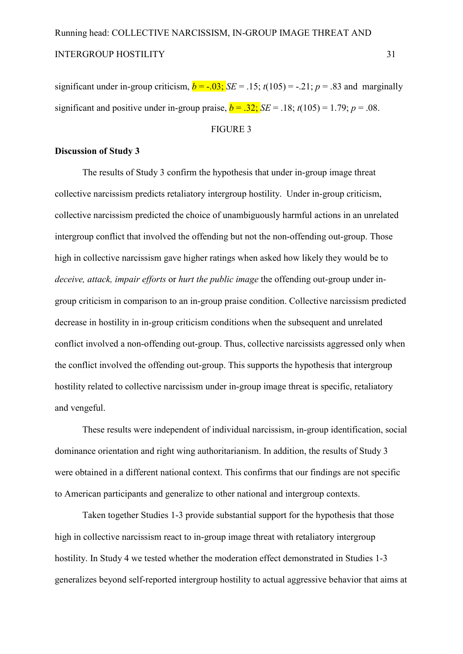significant under in-group criticism,  $b = -.03$ ;  $SE = .15$ ;  $t(105) = -.21$ ;  $p = .83$  and marginally significant and positive under in-group praise,  $b = .32$ ; *SE* = .18;  $t(105) = 1.79$ ;  $p = .08$ .

#### FIGURE 3

#### **Discussion of Study 3**

The results of Study 3 confirm the hypothesis that under in-group image threat collective narcissism predicts retaliatory intergroup hostility. Under in-group criticism, collective narcissism predicted the choice of unambiguously harmful actions in an unrelated intergroup conflict that involved the offending but not the non-offending out-group. Those high in collective narcissism gave higher ratings when asked how likely they would be to *deceive, attack, impair efforts* or *hurt the public image* the offending out-group under ingroup criticism in comparison to an in-group praise condition. Collective narcissism predicted decrease in hostility in in-group criticism conditions when the subsequent and unrelated conflict involved a non-offending out-group. Thus, collective narcissists aggressed only when the conflict involved the offending out-group. This supports the hypothesis that intergroup hostility related to collective narcissism under in-group image threat is specific, retaliatory and vengeful.

These results were independent of individual narcissism, in-group identification, social dominance orientation and right wing authoritarianism. In addition, the results of Study 3 were obtained in a different national context. This confirms that our findings are not specific to American participants and generalize to other national and intergroup contexts.

Taken together Studies 1-3 provide substantial support for the hypothesis that those high in collective narcissism react to in-group image threat with retaliatory intergroup hostility. In Study 4 we tested whether the moderation effect demonstrated in Studies 1-3 generalizes beyond self-reported intergroup hostility to actual aggressive behavior that aims at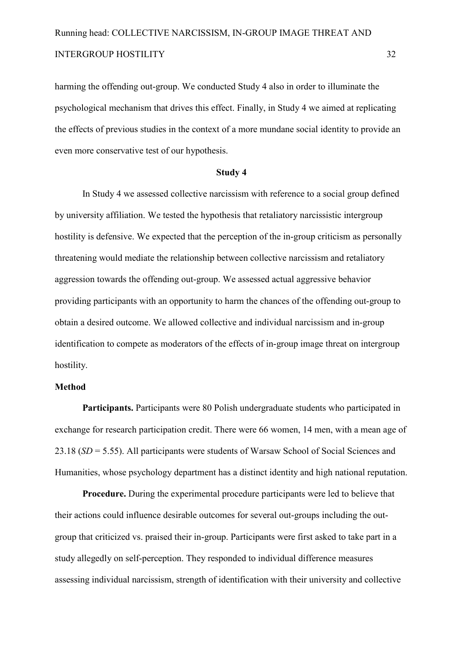harming the offending out-group. We conducted Study 4 also in order to illuminate the psychological mechanism that drives this effect. Finally, in Study 4 we aimed at replicating the effects of previous studies in the context of a more mundane social identity to provide an even more conservative test of our hypothesis.

#### **Study 4**

In Study 4 we assessed collective narcissism with reference to a social group defined by university affiliation. We tested the hypothesis that retaliatory narcissistic intergroup hostility is defensive. We expected that the perception of the in-group criticism as personally threatening would mediate the relationship between collective narcissism and retaliatory aggression towards the offending out-group. We assessed actual aggressive behavior providing participants with an opportunity to harm the chances of the offending out-group to obtain a desired outcome. We allowed collective and individual narcissism and in-group identification to compete as moderators of the effects of in-group image threat on intergroup hostility.

#### **Method**

**Participants.** Participants were 80 Polish undergraduate students who participated in exchange for research participation credit. There were 66 women, 14 men, with a mean age of 23.18 (*SD* = 5.55). All participants were students of Warsaw School of Social Sciences and Humanities, whose psychology department has a distinct identity and high national reputation.

**Procedure.** During the experimental procedure participants were led to believe that their actions could influence desirable outcomes for several out-groups including the outgroup that criticized vs. praised their in-group. Participants were first asked to take part in a study allegedly on self-perception. They responded to individual difference measures assessing individual narcissism, strength of identification with their university and collective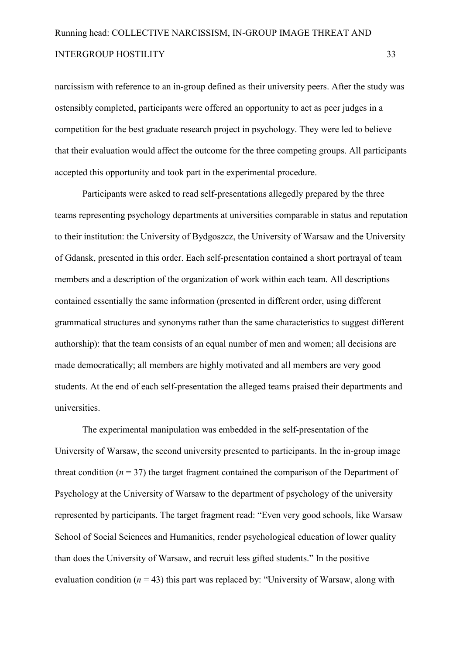narcissism with reference to an in-group defined as their university peers. After the study was ostensibly completed, participants were offered an opportunity to act as peer judges in a competition for the best graduate research project in psychology. They were led to believe that their evaluation would affect the outcome for the three competing groups. All participants accepted this opportunity and took part in the experimental procedure.

Participants were asked to read self-presentations allegedly prepared by the three teams representing psychology departments at universities comparable in status and reputation to their institution: the University of Bydgoszcz, the University of Warsaw and the University of Gdansk, presented in this order. Each self-presentation contained a short portrayal of team members and a description of the organization of work within each team. All descriptions contained essentially the same information (presented in different order, using different grammatical structures and synonyms rather than the same characteristics to suggest different authorship): that the team consists of an equal number of men and women; all decisions are made democratically; all members are highly motivated and all members are very good students. At the end of each self-presentation the alleged teams praised their departments and universities.

The experimental manipulation was embedded in the self-presentation of the University of Warsaw, the second university presented to participants. In the in-group image threat condition ( $n = 37$ ) the target fragment contained the comparison of the Department of Psychology at the University of Warsaw to the department of psychology of the university represented by participants. The target fragment read: "Even very good schools, like Warsaw School of Social Sciences and Humanities, render psychological education of lower quality than does the University of Warsaw, and recruit less gifted students." In the positive evaluation condition ( $n = 43$ ) this part was replaced by: "University of Warsaw, along with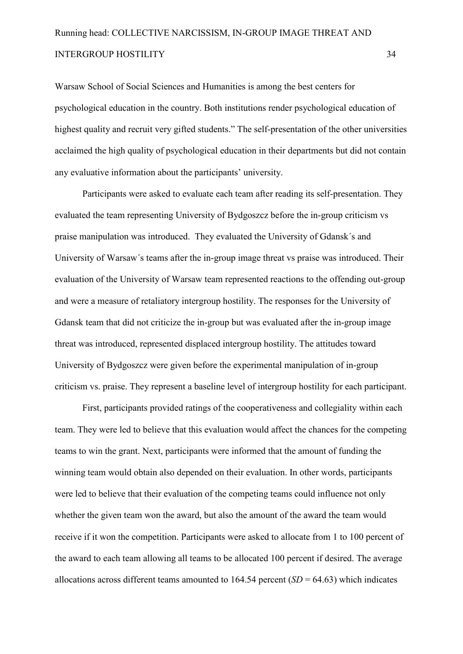Warsaw School of Social Sciences and Humanities is among the best centers for psychological education in the country. Both institutions render psychological education of highest quality and recruit very gifted students." The self-presentation of the other universities acclaimed the high quality of psychological education in their departments but did not contain any evaluative information about the participants' university.

Participants were asked to evaluate each team after reading its self-presentation. They evaluated the team representing University of Bydgoszcz before the in-group criticism vs praise manipulation was introduced. They evaluated the University of Gdansk´s and University of Warsaw's teams after the in-group image threat vs praise was introduced. Their evaluation of the University of Warsaw team represented reactions to the offending out-group and were a measure of retaliatory intergroup hostility. The responses for the University of Gdansk team that did not criticize the in-group but was evaluated after the in-group image threat was introduced, represented displaced intergroup hostility. The attitudes toward University of Bydgoszcz were given before the experimental manipulation of in-group criticism vs. praise. They represent a baseline level of intergroup hostility for each participant.

First, participants provided ratings of the cooperativeness and collegiality within each team. They were led to believe that this evaluation would affect the chances for the competing teams to win the grant. Next, participants were informed that the amount of funding the winning team would obtain also depended on their evaluation. In other words, participants were led to believe that their evaluation of the competing teams could influence not only whether the given team won the award, but also the amount of the award the team would receive if it won the competition. Participants were asked to allocate from 1 to 100 percent of the award to each team allowing all teams to be allocated 100 percent if desired. The average allocations across different teams amounted to  $164.54$  percent  $(SD = 64.63)$  which indicates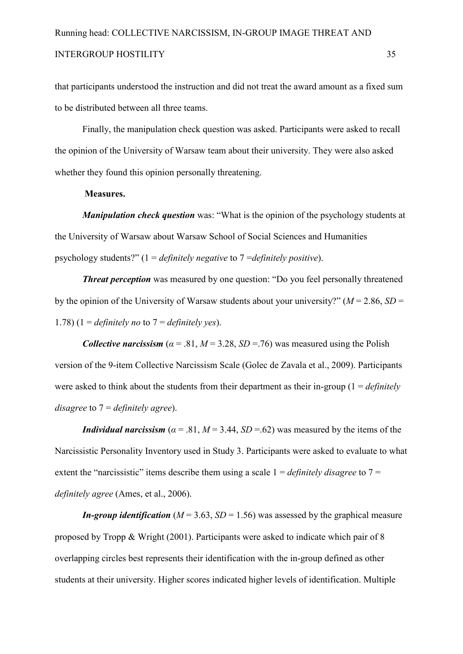that participants understood the instruction and did not treat the award amount as a fixed sum to be distributed between all three teams.

Finally, the manipulation check question was asked. Participants were asked to recall the opinion of the University of Warsaw team about their university. They were also asked whether they found this opinion personally threatening.

#### **Measures.**

*Manipulation check question* was: "What is the opinion of the psychology students at the University of Warsaw about Warsaw School of Social Sciences and Humanities psychology students?" (1 = *definitely negative* to 7 =*definitely positive*).

**Threat perception** was measured by one question: "Do you feel personally threatened by the opinion of the University of Warsaw students about your university?" (*M* = 2.86, *SD* = 1.78)  $(1 = \text{definitely no to } 7 = \text{definitely yes}).$ 

*Collective narcissism* ( $\alpha$  = .81,  $M$  = 3.28,  $SD$  = .76) was measured using the Polish version of the 9-item Collective Narcissism Scale (Golec de Zavala et al., 2009). Participants were asked to think about the students from their department as their in-group ( $1 = \text{definitely}$ ) *disagree* to 7 = *definitely agree*).

*Individual narcissism* ( $\alpha$  = .81, *M* = 3.44, *SD* = .62) was measured by the items of the Narcissistic Personality Inventory used in Study 3. Participants were asked to evaluate to what extent the "narcissistic" items describe them using a scale 1 = *definitely disagree* to 7 = *definitely agree* (Ames, et al., 2006).

*In-group identification* ( $M = 3.63$ ,  $SD = 1.56$ ) was assessed by the graphical measure proposed by Tropp & Wright (2001). Participants were asked to indicate which pair of 8 overlapping circles best represents their identification with the in-group defined as other students at their university. Higher scores indicated higher levels of identification. Multiple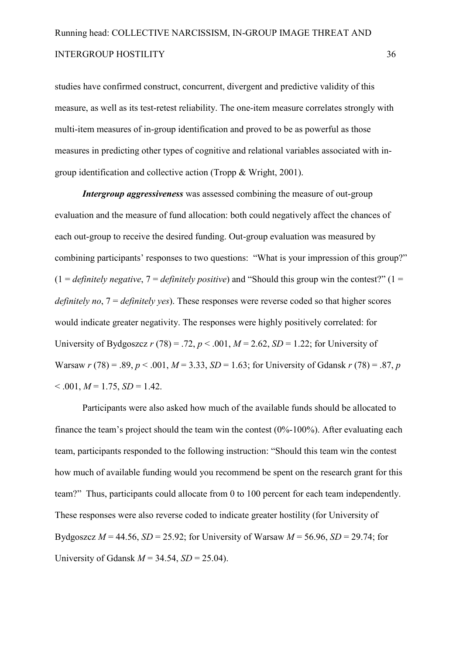studies have confirmed construct, concurrent, divergent and predictive validity of this measure, as well as its test-retest reliability. The one-item measure correlates strongly with multi-item measures of in-group identification and proved to be as powerful as those measures in predicting other types of cognitive and relational variables associated with in group identification and collective action (Tropp & Wright, 2001).

**Intergroup aggressiveness** was assessed combining the measure of out-group evaluation and the measure of fund allocation: both could negatively affect the chances of each out-group to receive the desired funding. Out-group evaluation was measured by combining participants' responses to two questions: "What is your impression of this group?"  $(1 = \text{definitely negative}, 7 = \text{definitely positive})$  and "Should this group win the contest?"  $(1 =$ *definitely no*, 7 = *definitely yes*). These responses were reverse coded so that higher scores would indicate greater negativity. The responses were highly positively correlated: for University of Bydgoszcz  $r(78) = .72$ ,  $p < .001$ ,  $M = 2.62$ ,  $SD = 1.22$ ; for University of Warsaw  $r(78) = .89$ ,  $p < .001$ ,  $M = 3.33$ ,  $SD = 1.63$ ; for University of Gdansk  $r(78) = .87$ ,  $p(78) = .87$  $< 0.001, M = 1.75, SD = 1.42.$ 

Participants were also asked how much of the available funds should be allocated to finance the team's project should the team win the contest  $(0\% - 100\%)$ . After evaluating each team, participants responded to the following instruction: "Should this team win the contest how much of available funding would you recommend be spent on the research grant for this team?" Thus, participants could allocate from 0 to 100 percent for each team independently. These responses were also reverse coded to indicate greater hostility (for University of Bydgoszcz  $M = 44.56$ ,  $SD = 25.92$ ; for University of Warsaw  $M = 56.96$ ,  $SD = 29.74$ ; for University of Gdansk *M* = 34.54, *SD* = 25.04).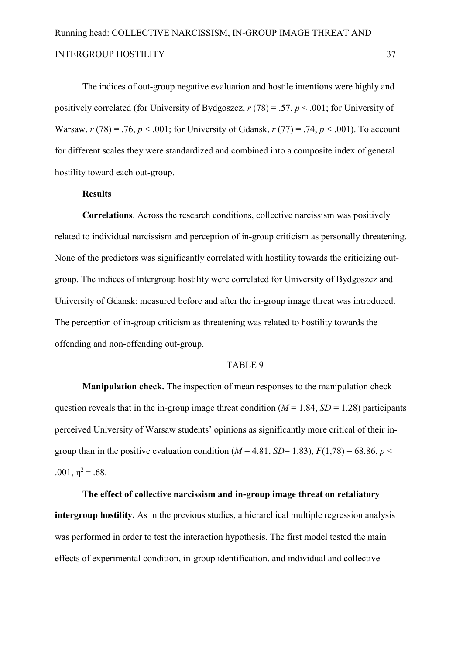The indices of out-group negative evaluation and hostile intentions were highly and positively correlated (for University of Bydgoszcz, *r* (78) = .57, *p* < .001; for University of Warsaw,  $r(78) = .76$ ,  $p < .001$ ; for University of Gdansk,  $r(77) = .74$ ,  $p < .001$ ). To account for different scales they were standardized and combined into a composite index of general hostility toward each out-group.

#### **Results**

Correlations. Across the research conditions, collective narcissism was positively related to individual narcissism and perception of in-group criticism as personally threatening. None of the predictors was significantly correlated with hostility towards the criticizing out group. The indices of intergroup hostility were correlated for University of Bydgoszcz and University of Gdansk: measured before and after the in-group image threat was introduced. The perception of in-group criticism as threatening was related to hostility towards the offending and non-offending out-group.

#### TABLE 9

**Manipulation check.** The inspection of mean responses to the manipulation check question reveals that in the in-group image threat condition ( $M = 1.84$ ,  $SD = 1.28$ ) participants perceived University of Warsaw students' opinions as significantly more critical of their in group than in the positive evaluation condition ( $M = 4.81$ ,  $SD = 1.83$ ),  $F(1,78) = 68.86$ ,  $p <$ .001,  $\eta^2$  = .68.

The effect of collective narcissism and in-group image threat on retaliatory **intergroup hostility.** As in the previous studies, a hierarchical multiple regression analysis was performed in order to test the interaction hypothesis. The first model tested the main effects of experimental condition, in-group identification, and individual and collective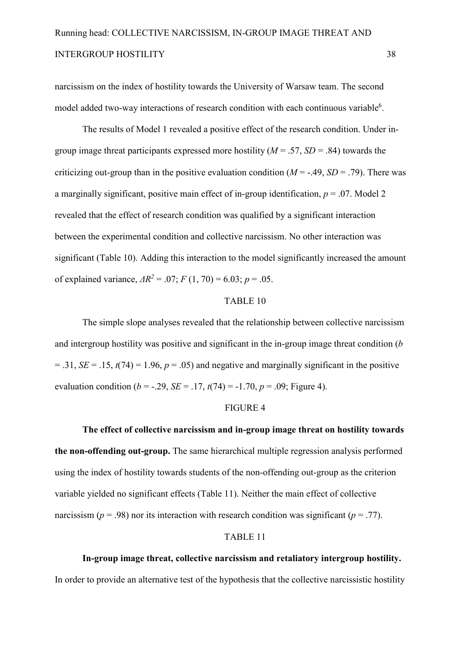narcissism on the index of hostility towards the University of Warsaw team. The second model added two-way interactions of research condition with each continuous variable<sup>6</sup>.

The results of Model 1 revealed a positive effect of the research condition. Under in group image threat participants expressed more hostility ( $M = .57$ ,  $SD = .84$ ) towards the criticizing out-group than in the positive evaluation condition  $(M = -0.49, SD = .79)$ . There was a marginally significant, positive main effect of in-group identification,  $p = .07$ . Model 2 revealed that the effect of research condition was qualified by a significant interaction between the experimental condition and collective narcissism. No other interaction was significant (Table 10). Adding this interaction to the model significantly increased the amount of explained variance,  $\Delta R^2 = .07$ ;  $F(1, 70) = 6.03$ ;  $p = .05$ .

#### TABLE 10

The simple slope analyses revealed that the relationship between collective narcissism and intergroup hostility was positive and significant in the in-group image threat condition  $(b)$  $= .31, SE = .15, t(74) = 1.96, p = .05$  and negative and marginally significant in the positive evaluation condition ( $b = -.29$ , *SE* = .17,  $t(74) = -1.70$ ,  $p = .09$ ; Figure 4).

#### FIGURE 4

The effect of collective narcissism and in-group image threat on hostility towards the non-offending out-group. The same hierarchical multiple regression analysis performed using the index of hostility towards students of the non-offending out-group as the criterion variable yielded no significant effects (Table 11). Neither the main effect of collective narcissism ( $p = .98$ ) nor its interaction with research condition was significant ( $p = .77$ ).

#### TABLE 11

#### In-group image threat, collective narcissism and retaliatory intergroup hostility.

In order to provide an alternative test of the hypothesis that the collective narcissistic hostility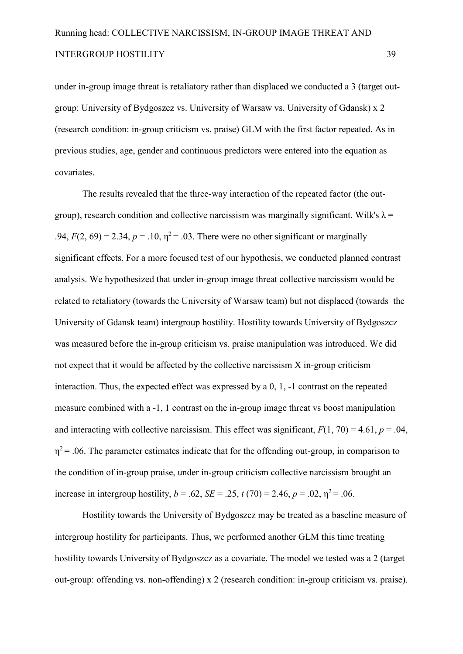under in-group image threat is retaliatory rather than displaced we conducted a 3 (target outgroup: University of Bydgoszcz vs. University of Warsaw vs. University of Gdansk) x 2 (research condition: in-group criticism vs. praise) GLM with the first factor repeated. As in previous studies, age, gender and continuous predictors were entered into the equation as covariates.

The results revealed that the three-way interaction of the repeated factor (the outgroup), research condition and collective narcissism was marginally significant, Wilk's  $\lambda$  = .94,  $F(2, 69) = 2.34$ ,  $p = .10$ ,  $\eta^2 = .03$ . There were no other significant or marginally significant effects. For a more focused test of our hypothesis, we conducted planned contrast analysis. We hypothesized that under in-group image threat collective narcissism would be related to retaliatory (towards the University of Warsaw team) but not displaced (towards the University of Gdansk team) intergroup hostility. Hostility towards University of Bydgoszcz was measured before the in-group criticism vs. praise manipulation was introduced. We did not expect that it would be affected by the collective narcissism  $X$  in-group criticism interaction. Thus, the expected effect was expressed by a  $0, 1, -1$  contrast on the repeated measure combined with a -1, 1 contrast on the in-group image threat vs boost manipulation and interacting with collective narcissism. This effect was significant,  $F(1, 70) = 4.61$ ,  $p = .04$ .  $\eta^2$  = .06. The parameter estimates indicate that for the offending out-group, in comparison to the condition of in-group praise, under in-group criticism collective narcissism brought an increase in intergroup hostility,  $b = .62$ ,  $SE = .25$ ,  $t(70) = 2.46$ ,  $p = .02$ ,  $\eta^2 = .06$ .

Hostility towards the University of Bydgoszcz may be treated as a baseline measure of intergroup hostility for participants. Thus, we performed another GLM this time treating hostility towards University of Bydgoszcz as a covariate. The model we tested was a 2 (target out-group: offending vs. non-offending)  $x$  2 (research condition: in-group criticism vs. praise).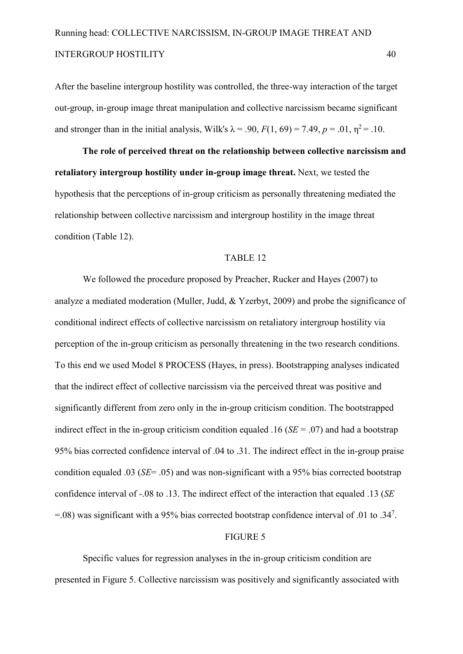After the baseline intergroup hostility was controlled, the three-way interaction of the target out-group, in-group image threat manipulation and collective narcissism became significant and stronger than in the initial analysis, Wilk's  $\lambda = .90$ ,  $F(1, 69) = 7.49$ ,  $p = .01$ ,  $\eta^2 = .10$ .

The role of perceived threat on the relationship between collective narcissism and **retaliatory intergroup hostility under in-group image threat. Next, we tested the** hypothesis that the perceptions of in-group criticism as personally threatening mediated the relationship between collective narcissism and intergroup hostility in the image threat condition (Table 12).

#### TABLE 12

We followed the procedure proposed by Preacher, Rucker and Hayes (2007) to analyze a mediated moderation (Muller, Judd, & Yzerbyt, 2009) and probe the significance of conditional indirect effects of collective narcissism on retaliatory intergroup hostility via perception of the in-group criticism as personally threatening in the two research conditions. To this end we used Model 8 PROCESS (Hayes, in press). Bootstrapping analyses indicated that the indirect effect of collective narcissism via the perceived threat was positive and significantly different from zero only in the in-group criticism condition. The bootstrapped indirect effect in the in-group criticism condition equaled .16 ( $SE = .07$ ) and had a bootstrap 95% bias corrected confidence interval of .04 to .31. The indirect effect in the in-group praise condition equaled .03 (*SE*= .05) and was non-significant with a 95% bias corrected bootstrap confidence interval of .08 to .13. The indirect effect of the interaction that equaled .13 (*SE*  $=$  0.08) was significant with a 95% bias corrected bootstrap confidence interval of .01 to .34<sup>7</sup>.

#### FIGURE 5

Specific values for regression analyses in the in-group criticism condition are presented in Figure 5. Collective narcissism was positively and significantly associated with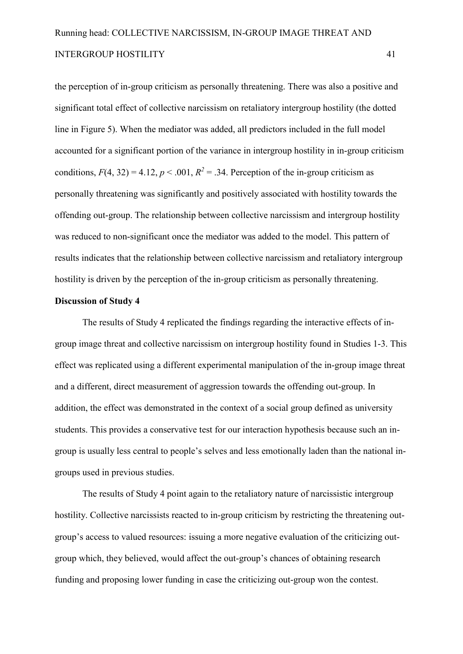the perception of in-group criticism as personally threatening. There was also a positive and significant total effect of collective narcissism on retaliatory intergroup hostility (the dotted line in Figure 5). When the mediator was added, all predictors included in the full model accounted for a significant portion of the variance in intergroup hostility in in-group criticism conditions,  $F(4, 32) = 4.12$ ,  $p < .001$ ,  $R^2 = .34$ . Perception of the in-group criticism as personally threatening was significantly and positively associated with hostility towards the offending out-group. The relationship between collective narcissism and intergroup hostility was reduced to non-significant once the mediator was added to the model. This pattern of results indicates that the relationship between collective narcissism and retaliatory intergroup hostility is driven by the perception of the in-group criticism as personally threatening.

#### **Discussion of Study 4**

The results of Study 4 replicated the findings regarding the interactive effects of in group image threat and collective narcissism on intergroup hostility found in Studies 13. This effect was replicated using a different experimental manipulation of the in-group image threat and a different, direct measurement of aggression towards the offending out-group. In addition, the effect was demonstrated in the context of a social group defined as university students. This provides a conservative test for our interaction hypothesis because such an in group is usually less central to people's selves and less emotionally laden than the national in groups used in previous studies.

The results of Study 4 point again to the retaliatory nature of narcissistic intergroup hostility. Collective narcissists reacted to in-group criticism by restricting the threatening outgroup's access to valued resources: issuing a more negative evaluation of the criticizing out group which, they believed, would affect the out-group's chances of obtaining research funding and proposing lower funding in case the criticizing out-group won the contest.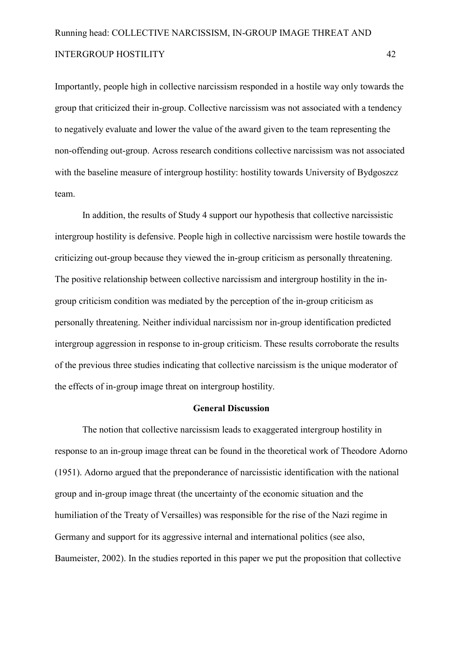Importantly, people high in collective narcissism responded in a hostile way only towards the group that criticized their in-group. Collective narcissism was not associated with a tendency to negatively evaluate and lower the value of the award given to the team representing the non-offending out-group. Across research conditions collective narcissism was not associated with the baseline measure of intergroup hostility: hostility towards University of Bydgoszcz team.

In addition, the results of Study 4 support our hypothesis that collective narcissistic intergroup hostility is defensive. People high in collective narcissism were hostile towards the criticizing out-group because they viewed the in-group criticism as personally threatening. The positive relationship between collective narcissism and intergroup hostility in the in group criticism condition was mediated by the perception of the in-group criticism as personally threatening. Neither individual narcissism nor in-group identification predicted intergroup aggression in response to in-group criticism. These results corroborate the results of the previous three studies indicating that collective narcissism is the unique moderator of the effects of in-group image threat on intergroup hostility.

#### General Discussion

The notion that collective narcissism leads to exaggerated intergroup hostility in response to an in-group image threat can be found in the theoretical work of Theodore Adorno (1951). Adorno argued that the preponderance of narcissistic identification with the national group and in-group image threat (the uncertainty of the economic situation and the humiliation of the Treaty of Versailles) was responsible for the rise of the Nazi regime in Germany and support for its aggressive internal and international politics (see also, Baumeister, 2002). In the studies reported in this paper we put the proposition that collective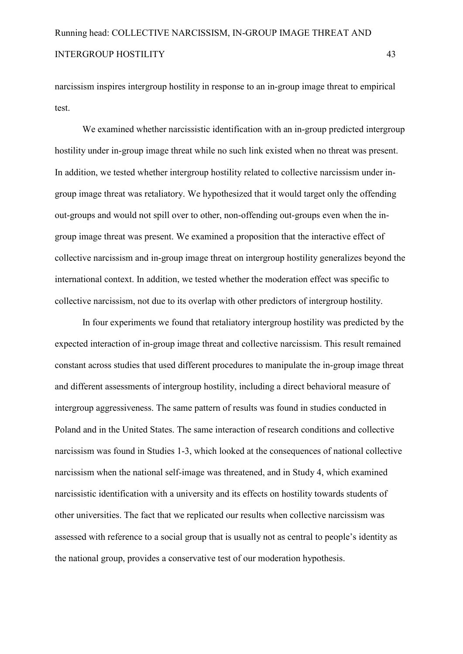narcissism inspires intergroup hostility in response to an in-group image threat to empirical test.

We examined whether narcissistic identification with an in-group predicted intergroup hostility under in-group image threat while no such link existed when no threat was present. In addition, we tested whether intergroup hostility related to collective narcissism under in group image threat was retaliatory. We hypothesized that it would target only the offending out-groups and would not spill over to other, non-offending out-groups even when the ingroup image threat was present. We examined a proposition that the interactive effect of collective narcissism and in-group image threat on intergroup hostility generalizes beyond the international context. In addition, we tested whether the moderation effect was specific to collective narcissism, not due to its overlap with other predictors of intergroup hostility.

In four experiments we found that retaliatory intergroup hostility was predicted by the expected interaction of in-group image threat and collective narcissism. This result remained constant across studies that used different procedures to manipulate the in-group image threat and different assessments of intergroup hostility, including a direct behavioral measure of intergroup aggressiveness. The same pattern of results was found in studies conducted in Poland and in the United States. The same interaction of research conditions and collective narcissism was found in Studies 1-3, which looked at the consequences of national collective narcissism when the national self-image was threatened, and in Study 4, which examined narcissistic identification with a university and its effects on hostility towards students of other universities. The fact that we replicated our results when collective narcissism was assessed with reference to a social group that is usually not as central to people's identity as the national group, provides a conservative test of our moderation hypothesis.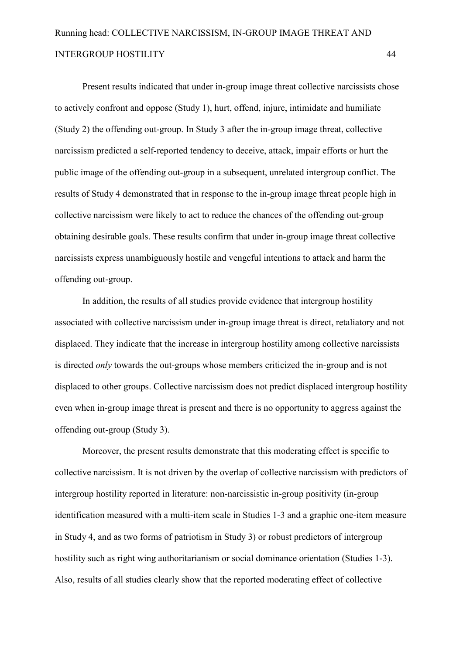Present results indicated that under in-group image threat collective narcissists chose to actively confront and oppose (Study 1), hurt, offend, injure, intimidate and humiliate (Study 2) the offending out-group. In Study 3 after the in-group image threat, collective narcissism predicted a self-reported tendency to deceive, attack, impair efforts or hurt the public image of the offending out-group in a subsequent, unrelated intergroup conflict. The results of Study 4 demonstrated that in response to the in-group image threat people high in collective narcissism were likely to act to reduce the chances of the offending out-group obtaining desirable goals. These results confirm that under in-group image threat collective narcissists express unambiguously hostile and vengeful intentions to attack and harm the offending out-group.

In addition, the results of all studies provide evidence that intergroup hostility associated with collective narcissism under in-group image threat is direct, retaliatory and not displaced. They indicate that the increase in intergroup hostility among collective narcissists is directed *only* towards the out-groups whose members criticized the in-group and is not displaced to other groups. Collective narcissism does not predict displaced intergroup hostility even when in-group image threat is present and there is no opportunity to aggress against the offending out-group (Study 3).

Moreover, the present results demonstrate that this moderating effect is specific to collective narcissism. It is not driven by the overlap of collective narcissism with predictors of intergroup hostility reported in literature: non-narcissistic in-group positivity (in-group identification measured with a multi-item scale in Studies 1-3 and a graphic one-item measure in Study 4, and as two forms of patriotism in Study 3) or robust predictors of intergroup hostility such as right wing authoritarianism or social dominance orientation (Studies 1-3). Also, results of all studies clearly show that the reported moderating effect of collective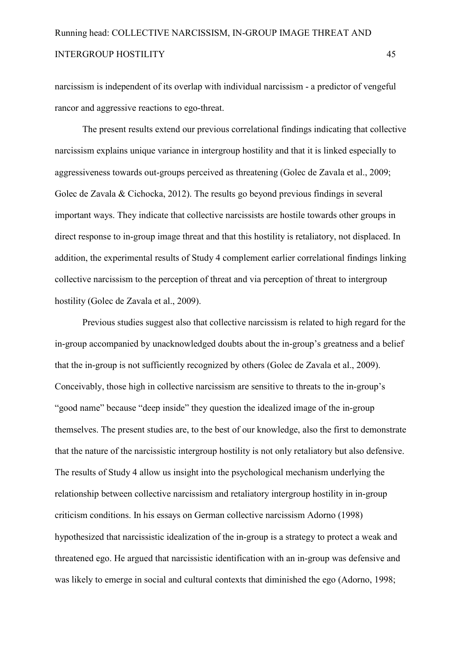narcissism is independent of its overlap with individual narcissism - a predictor of vengeful rancor and aggressive reactions to ego-threat.

The present results extend our previous correlational findings indicating that collective narcissism explains unique variance in intergroup hostility and that it is linked especially to aggressiveness towards out-groups perceived as threatening (Golec de Zavala et al., 2009; Golec de Zavala & Cichocka, 2012). The results go beyond previous findings in several important ways. They indicate that collective narcissists are hostile towards other groups in direct response to in-group image threat and that this hostility is retaliatory, not displaced. In addition, the experimental results of Study 4 complement earlier correlational findings linking collective narcissism to the perception of threat and via perception of threat to intergroup hostility (Golec de Zavala et al., 2009).

Previous studies suggest also that collective narcissism is related to high regard for the in-group accompanied by unacknowledged doubts about the in-group's greatness and a belief that the in-group is not sufficiently recognized by others (Golec de Zavala et al., 2009). Conceivably, those high in collective narcissism are sensitive to threats to the in-group's "good name" because "deep inside" they question the idealized image of the in-group themselves. The present studies are, to the best of our knowledge, also the first to demonstrate that the nature of the narcissistic intergroup hostility is not only retaliatory but also defensive. The results of Study 4 allow us insight into the psychological mechanism underlying the relationship between collective narcissism and retaliatory intergroup hostility in in-group criticism conditions. In his essays on German collective narcissism Adorno (1998) hypothesized that narcissistic idealization of the in-group is a strategy to protect a weak and threatened ego. He argued that narcissistic identification with an in-group was defensive and was likely to emerge in social and cultural contexts that diminished the ego (Adorno, 1998;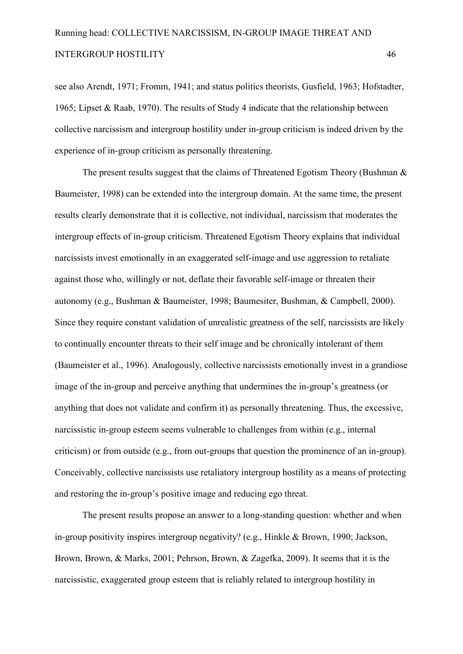see also Arendt, 1971; Fromm, 1941; and status politics theorists, Gusfield, 1963; Hofstadter, 1965; Lipset & Raab, 1970). The results of Study 4 indicate that the relationship between collective narcissism and intergroup hostility under in-group criticism is indeed driven by the experience of in-group criticism as personally threatening.

The present results suggest that the claims of Threatened Egotism Theory (Bushman & Baumeister, 1998) can be extended into the intergroup domain. At the same time, the present results clearly demonstrate that it is collective, not individual, narcissism that moderates the intergroup effects of in-group criticism. Threatened Egotism Theory explains that individual narcissists invest emotionally in an exaggerated self-image and use aggression to retaliate against those who, willingly or not, deflate their favorable self-image or threaten their autonomy (e.g., Bushman & Baumeister, 1998; Baumesiter, Bushman, & Campbell, 2000). Since they require constant validation of unrealistic greatness of the self, narcissists are likely to continually encounter threats to their self image and be chronically intolerant of them (Baumeister et al., 1996). Analogously, collective narcissists emotionally invest in a grandiose image of the in-group and perceive anything that undermines the in-group's greatness (or anything that does not validate and confirm it) as personally threatening. Thus, the excessive, narcissistic in-group esteem seems vulnerable to challenges from within (e.g., internal criticism) or from outside (e.g., from out-groups that question the prominence of an in-group). Conceivably, collective narcissists use retaliatory intergroup hostility as a means of protecting and restoring the in-group's positive image and reducing ego threat.

The present results propose an answer to a long-standing question: whether and when in-group positivity inspires intergroup negativity? (e.g., Hinkle & Brown, 1990; Jackson, Brown, Brown, & Marks, 2001; Pehrson, Brown, & Zagefka, 2009). It seems that it is the narcissistic, exaggerated group esteem that is reliably related to intergroup hostility in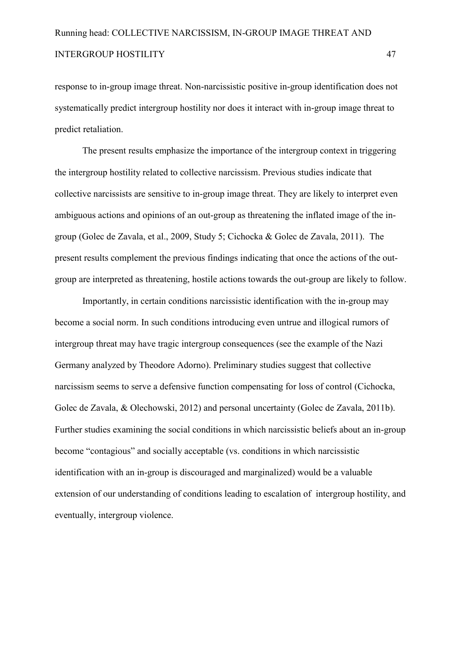response to in-group image threat. Non-narcissistic positive in-group identification does not systematically predict intergroup hostility nor does it interact with in-group image threat to predict retaliation.

The present results emphasize the importance of the intergroup context in triggering the intergroup hostility related to collective narcissism. Previous studies indicate that collective narcissists are sensitive to in-group image threat. They are likely to interpret even ambiguous actions and opinions of an out-group as threatening the inflated image of the ingroup (Golec de Zavala, et al., 2009, Study 5; Cichocka & Golec de Zavala, 2011). The present results complement the previous findings indicating that once the actions of the out group are interpreted as threatening, hostile actions towards the out-group are likely to follow.

Importantly, in certain conditions narcissistic identification with the in-group may become a social norm. In such conditions introducing even untrue and illogical rumors of intergroup threat may have tragic intergroup consequences (see the example of the Nazi Germany analyzed by Theodore Adorno). Preliminary studies suggest that collective narcissism seems to serve a defensive function compensating for loss of control (Cichocka, Golec de Zavala, & Olechowski, 2012) and personal uncertainty (Golec de Zavala, 2011b). Further studies examining the social conditions in which narcissistic beliefs about an in-group become "contagious" and socially acceptable (vs. conditions in which narcissistic identification with an in-group is discouraged and marginalized) would be a valuable extension of our understanding of conditions leading to escalation of intergroup hostility, and eventually, intergroup violence.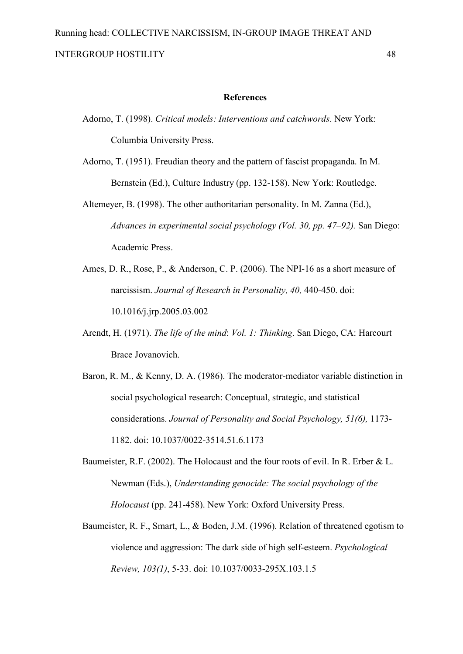#### **References**

- Adorno, T. (1998). *Critical models: Interventions and catchwords*. New York: Columbia University Press.
- Adorno, T. (1951). Freudian theory and the pattern of fascist propaganda. In M. Bernstein (Ed.), Culture Industry (pp. 132-158). New York: Routledge.
- Altemeyer, B. (1998). The other authoritarian personality. In M. Zanna (Ed.), *Advances in experimental social psychology (Vol. 30, pp. 47–92).* San Diego: Academic Press.
- Ames, D. R., Rose, P., & Anderson, C. P. (2006). The NPI-16 as a short measure of narcissism. *Journal of Research in Personality, 40, 440-450.* doi: 10.1016/j.jrp.2005.03.002
- Arendt, H. (1971). *The life of the mind*: *Vol. 1: Thinking*. San Diego, CA: Harcourt Brace Jovanovich.
- Baron, R. M., & Kenny, D. A. (1986). The moderator-mediator variable distinction in social psychological research: Conceptual, strategic, and statistical considerations. *Journal of Personality and Social Psychology, 51(6),* 1173 1182. doi: 10.1037/00223514.51.6.1173
- Baumeister, R.F. (2002). The Holocaust and the four roots of evil. In R. Erber & L. Newman (Eds.), *Understanding genocide: The social psychology of the Holocaust* (pp. 241-458). New York: Oxford University Press.
- Baumeister, R. F., Smart, L., & Boden, J.M. (1996). Relation of threatened egotism to violence and aggression: The dark side of high self-esteem. *Psychological Review, 103(1), 5-33. doi: 10.1037/0033-295X.103.1.5*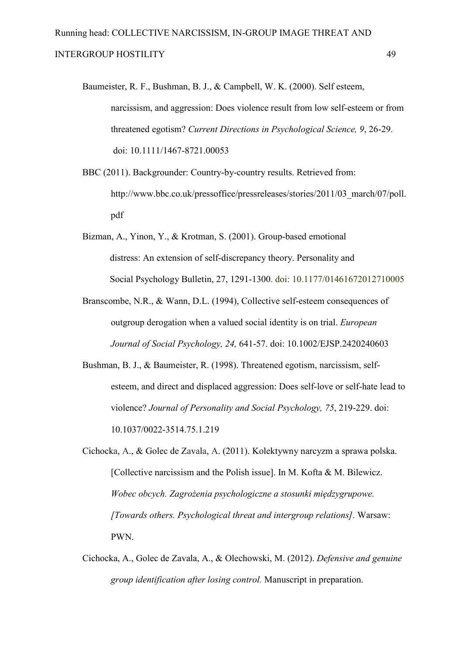- Baumeister, R. F., Bushman, B. J., & Campbell, W. K. (2000). Self esteem, narcissism, and aggression: Does violence result from low self-esteem or from threatened egotism? *Current Directions in Psychological Science*, 9, 26-29. doi: 10.1111/1467-8721.00053
- BBC (2011). Backgrounder: Country-by-country results. Retrieved from: http://www.bbc.co.uk/pressoffice/pressreleases/stories/2011/03\_march/07/poll. pdf
- Bizman, A., Yinon, Y., & Krotman, S. (2001). Group-based emotional distress: An extension of self-discrepancy theory. Personality and Social Psychology Bulletin, 27, 1291-1300. doi: 10.1177/01461672012710005
- Branscombe, N.R., & Wann, D.L. (1994), Collective self-esteem consequences of outgroup derogation when a valued social identity is on trial. *European Journal of Social Psychology, 24, 641-57. doi: 10.1002/EJSP.2420240603*
- Bushman, B. J., & Baumeister, R. (1998). Threatened egotism, narcissism, self esteem, and direct and displaced aggression: Does self-love or self-hate lead to violence? *Journal of Personality and Social Psychology, 75, 219-229. doi:* 10.1037/00223514.75.1.219
- Cichocka, A., & Golec de Zavala, A. (2011). Kolektywny narcyzm a sprawa polska. [Collective narcissism and the Polish issue]. In M. Kofta & M. Bilewicz. *Wobec obcych. Zagrożenia psychologiczne a stosunki międzygrupowe. [Towards others. Psychological threat and intergroup relations].* Warsaw: PWN.
- Cichocka, A., Golec de Zavala, A., & Olechowski, M. (2012). *Defensive and genuine group identification after losing control.* Manuscript in preparation.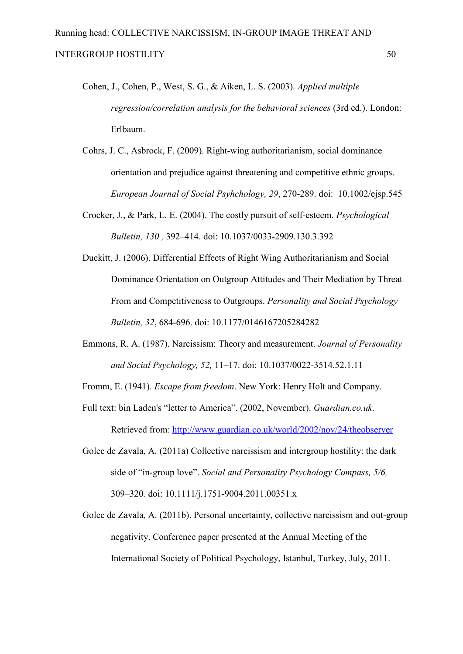- Cohen, J., Cohen, P., West, S. G., & Aiken, L. S. (2003). *Applied multiple regression/correlation analysis for the behavioral sciences* (3rd ed.). London: Erlbaum.
- Cohrs, J. C., Asbrock, F. (2009). Right-wing authoritarianism, social dominance orientation and prejudice against threatening and competitive ethnic groups. *European Journal of Social Psyhchology, 29, 270-289. doi: 10.1002/ejsp.545*
- Crocker, J., & Park, L. E. (2004). The costly pursuit of self-esteem. *Psychological Bulletin, 130*, 392-414. doi: 10.1037/0033-2909.130.3.392
- Duckitt, J. (2006). Differential Effects of Right Wing Authoritarianism and Social Dominance Orientation on Outgroup Attitudes and Their Mediation by Threat From and Competitiveness to Outgroups. *Personality and Social Psychology Bulletin, 32*, 684696. doi: 10.1177/0146167205284282
- Emmons, R. A. (1987). Narcissism: Theory and measurement. *Journal of Personality and Social Psychology, 52, 11–17. doi: 10.1037/0022-3514.52.1.11*
- Fromm, E. (1941). *Escape from freedom*. New York: Henry Holt and Company.
- Full text: bin Laden's "letter to America". (2002, November). *Guardian.co.uk*. Retrieved from: http://www.guardian.co.uk/world/2002/nov/24/theobserver
- Golec de Zavala, A. (2011a) Collective narcissism and intergroup hostility: the dark side of "in-group love". *Social and Personality Psychology Compass, 5/6*, 309–320. doi: 10.1111/j.1751-9004.2011.00351.x
- Golec de Zavala, A. (2011b). Personal uncertainty, collective narcissism and out-group negativity. Conference paper presented at the Annual Meeting of the International Society of Political Psychology, Istanbul, Turkey, July, 2011.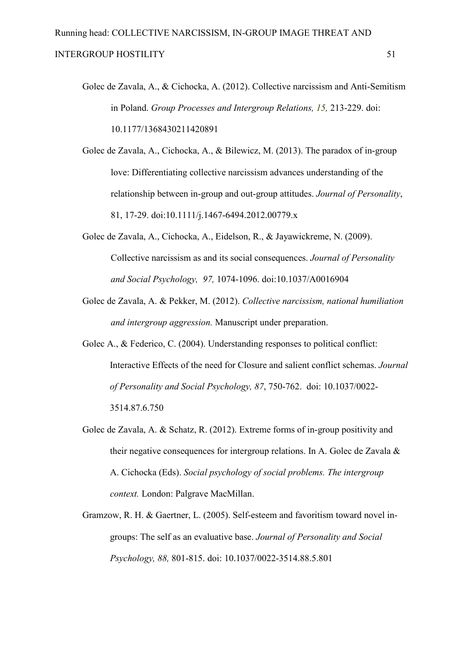- Golec de Zavala, A., & Cichocka, A. (2012). Collective narcissism and Anti-Semitism in Poland. *Group Processes and Intergroup Relations*, 15, 213-229. doi: 10.1177/1368430211420891
- Golec de Zavala, A., Cichocka, A., & Bilewicz, M. (2013). The paradox of in-group love: Differentiating collective narcissism advances understanding of the relationship between in-group and out-group attitudes. *Journal of Personality*, 81, 17-29. doi:10.1111/j.1467-6494.2012.00779.x
- Golec de Zavala, A., Cichocka, A., Eidelson, R., & Jayawickreme, N. (2009). Collective narcissism as and its social consequences. *Journal of Personality and Social Psychology, 97,* 10741096. doi:10.1037/A0016904
- Golec de Zavala, A. & Pekker, M. (2012). *Collective narcissism, national humiliation and intergroup aggression.* Manuscript under preparation.
- Golec A., & Federico, C. (2004). Understanding responses to political conflict: Interactive Effects of the need for Closure and salient conflict schemas. *Journal of Personality and Social Psychology, 87, 750-762. doi: 10.1037/0022-*3514.87.6.750
- Golec de Zavala, A. & Schatz, R. (2012). Extreme forms of in-group positivity and their negative consequences for intergroup relations. In A. Golec de Zavala & A. Cichocka (Eds). *Social psychology of social problems. The intergroup context.* London: Palgrave MacMillan.
- Gramzow, R. H. & Gaertner, L. (2005). Self-esteem and favoritism toward novel ingroups: The self as an evaluative base. *Journal of Personality and Social Psychology, 88, 801-815. doi: 10.1037/0022-3514.88.5.801*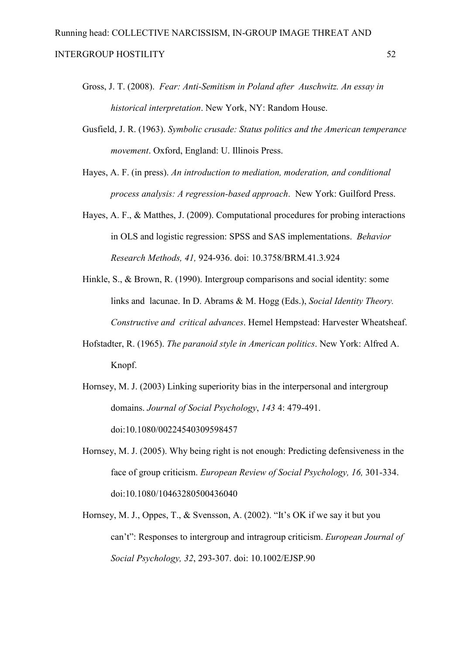- Gross, J. T. (2008). *Fear: Anti-Semitism in Poland after Auschwitz. An essay in historical interpretation*. New York, NY: Random House.
- Gusfield, J. R. (1963). *Symbolic crusade: Status politics and the American temperance movement*. Oxford, England: U. Illinois Press.
- Hayes, A. F. (in press). *An introduction to mediation, moderation, and conditional process analysis: A regression-based approach.* New York: Guilford Press.
- Hayes, A. F., & Matthes, J. (2009). Computational procedures for probing interactions in OLS and logistic regression: SPSS and SAS implementations. *Behavior Research Methods, 41,* 924936. doi: 10.3758/BRM.41.3.924
- Hinkle, S., & Brown, R. (1990). Intergroup comparisons and social identity: some links and lacunae. In D. Abrams & M. Hogg (Eds.), *Social Identity Theory. Constructive and critical advances*. Hemel Hempstead: Harvester Wheatsheaf.
- Hofstadter, R. (1965). *The paranoid style in American politics*. New York: Alfred A. Knopf.

Hornsey, M. J. (2003) Linking superiority bias in the interpersonal and intergroup domains. *Journal of Social Psychology*, 143 4: 479-491. doi:10.1080/00224540309598457

- Hornsey, M. J. (2005). Why being right is not enough: Predicting defensiveness in the face of group criticism. *European Review of Social Psychology, 16, 301-334.* doi:10.1080/10463280500436040
- Hornsey, M. J., Oppes, T., & Svensson, A. (2002). "It's OK if we say it but you can't": Responses to intergroup and intragroup criticism. *European Journal of Social Psychology, 32, 293-307. doi: 10.1002/EJSP.90*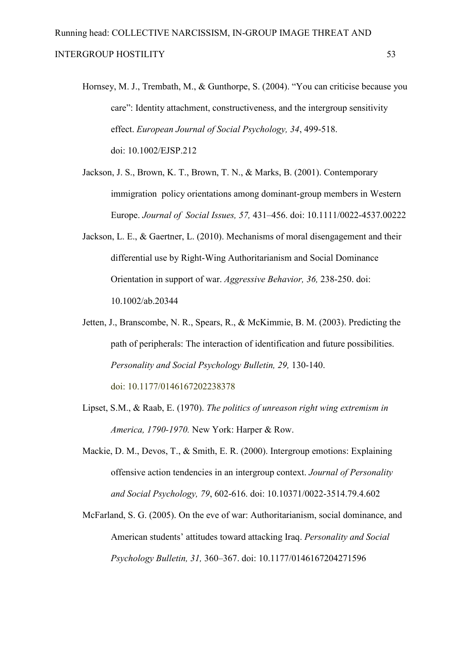- Hornsey, M. J., Trembath, M., & Gunthorpe, S. (2004). "You can criticise because you care": Identity attachment, constructiveness, and the intergroup sensitivity effect. *European Journal of Social Psychology, 34, 499-518.* doi: 10.1002/EJSP.212
- Jackson, J. S., Brown, K. T., Brown, T. N., & Marks, B. (2001). Contemporary immigration policy orientations among dominant-group members in Western Europe. *Journal of Social Issues, 57,* 431–456. doi: 10.1111/00224537.00222
- Jackson, L. E., & Gaertner, L. (2010). Mechanisms of moral disengagement and their differential use by Right-Wing Authoritarianism and Social Dominance Orientation in support of war. *Aggressive Behavior*, 36, 238-250. doi: 10.1002/ab.20344
- Jetten, J., Branscombe, N. R., Spears, R., & McKimmie, B. M. (2003). Predicting the path of peripherals: The interaction of identification and future possibilities. *Personality and Social Psychology Bulletin, 29, 130-140.* doi: 10.1177/0146167202238378
- Lipset, S.M., & Raab, E. (1970). *The politics of unreason right wing extremism in America, 1790-1970.* New York: Harper & Row.
- Mackie, D. M., Devos, T., & Smith, E. R. (2000). Intergroup emotions: Explaining offensive action tendencies in an intergroup context. *Journal of Personality*  and Social Psychology, 79, 602-616. doi: 10.10371/0022-3514.79.4.602
- McFarland, S. G. (2005). On the eve of war: Authoritarianism, social dominance, and American students' attitudes toward attacking Iraq. *Personality and Social Psychology Bulletin, 31,* 360–367. doi: 10.1177/0146167204271596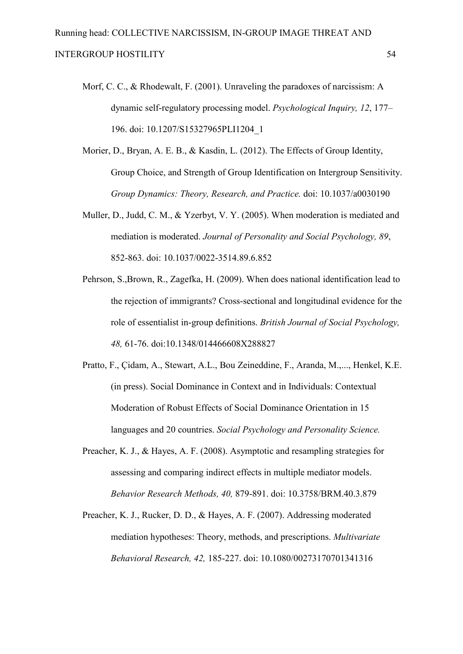- Morf, C. C., & Rhodewalt, F. (2001). Unraveling the paradoxes of narcissism: A dynamic self-regulatory processing model. *Psychological Inquiry, 12, 177–* 196. doi: 10.1207/S15327965PLI1204\_1
- Morier, D., Bryan, A. E. B., & Kasdin, L. (2012). The Effects of Group Identity, Group Choice, and Strength of Group Identification on Intergroup Sensitivity. *Group Dynamics: Theory, Research, and Practice.* doi: 10.1037/a0030190
- Muller, D., Judd, C. M., & Yzerbyt, V. Y. (2005). When moderation is mediated and mediation is moderated. *Journal of Personality and Social Psychology, 89*, 852-863. doi: 10.1037/0022-3514.89.6.852
- Pehrson, S.,Brown, R., Zagefka, H. (2009). When does national identification lead to the rejection of immigrants? Cross-sectional and longitudinal evidence for the role of essentialist in-group definitions. *British Journal of Social Psychology*, *48,* 6176. doi:10.1348/014466608X288827
- Pratto, F., Çidam, A., Stewart, A.L., Bou Zeineddine, F., Aranda, M.,..., Henkel, K.E. (in press). Social Dominance in Context and in Individuals: Contextual Moderation of Robust Effects of Social Dominance Orientation in 15 languages and 20 countries. *Social Psychology and Personality Science.*
- Preacher, K. J., & Hayes, A. F. (2008). Asymptotic and resampling strategies for assessing and comparing indirect effects in multiple mediator models. Behavior Research Methods, 40, 879-891. doi: 10.3758/BRM.40.3.879
- Preacher, K. J., Rucker, D. D., & Hayes, A. F. (2007). Addressing moderated mediation hypotheses: Theory, methods, and prescriptions. *Multivariate Behavioral Research, 42,* 185227. doi: 10.1080/00273170701341316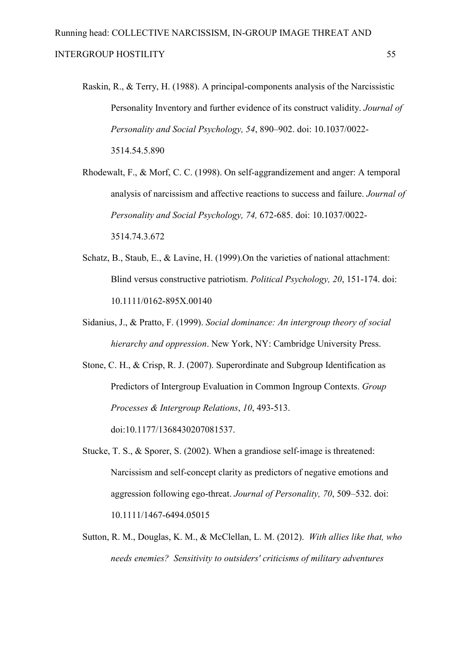- Raskin, R., & Terry, H. (1988). A principal-components analysis of the Narcissistic Personality Inventory and further evidence of its construct validity. *Journal of Personality and Social Psychology, 54*, 890–902. doi: 10.1037/0022 3514.54.5.890
- Rhodewalt, F., & Morf, C. C. (1998). On self-aggrandizement and anger: A temporal analysis of narcissism and affective reactions to success and failure. *Journal of Personality and Social Psychology, 74, 672-685. doi: 10.1037/0022-*3514.74.3.672
- Schatz, B., Staub, E., & Lavine, H. (1999).On the varieties of national attachment: Blind versus constructive patriotism. *Political Psychology, 20*, 151-174. doi: 10.1111/0162-895X.00140
- Sidanius, J., & Pratto, F. (1999). *Social dominance: An intergroup theory of social hierarchy and oppression*. New York, NY: Cambridge University Press.

Stone, C. H., & Crisp, R. J. (2007). Superordinate and Subgroup Identification as Predictors of Intergroup Evaluation in Common Ingroup Contexts. *Group Processes & Intergroup Relations, 10, 493-513.* doi:10.1177/1368430207081537.

- Stucke, T. S.,  $\&$  Sporer, S. (2002). When a grandiose self-image is threatened: Narcissism and self-concept clarity as predictors of negative emotions and aggression following ego-threat. *Journal of Personality, 70*, 509–532. doi: 10.1111/1467-6494.05015
- Sutton, R. M., Douglas, K. M., & McClellan, L. M. (2012). *With allies like that, who needs enemies? Sensitivity to outsiders' criticisms of military adventures*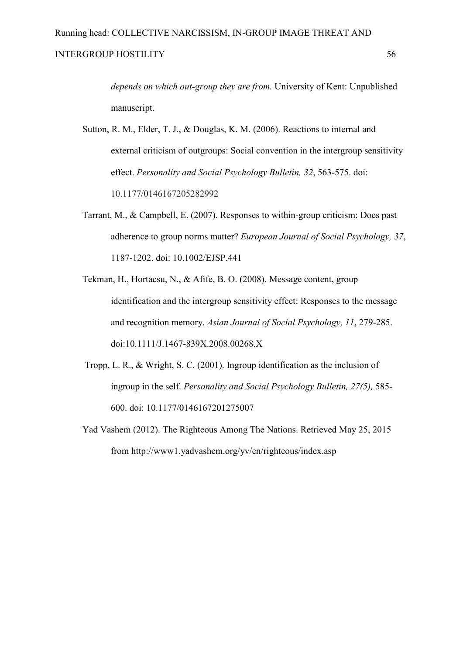*depends on which out-group they are from.* University of Kent: Unpublished manuscript.

- Sutton, R. M., Elder, T. J., & Douglas, K. M. (2006). Reactions to internal and external criticism of outgroups: Social convention in the intergroup sensitivity effect. *Personality and Social Psychology Bulletin, 32, 563-575. doi:* 10.1177/0146167205282992
- Tarrant, M., & Campbell, E. (2007). Responses to withingroup criticism: Does past adherence to group norms matter? *European Journal of Social Psychology, 37*, 11871202. doi: 10.1002/EJSP.441
- Tekman, H., Hortacsu, N., & Afife, B. O. (2008). Message content, group identification and the intergroup sensitivity effect: Responses to the message and recognition memory. *Asian Journal of Social Psychology, 11, 279-285.* doi:10.1111/J.1467-839X.2008.00268.X
- Tropp, L. R., & Wright, S. C. (2001). Ingroup identification as the inclusion of ingroup in the self. *Personality and Social Psychology Bulletin, 27(5),* 585 600. doi: 10.1177/0146167201275007
- Yad Vashem (2012). The Righteous Among The Nations. Retrieved May 25, 2015 from http://www1.yadvashem.org/yv/en/righteous/index.asp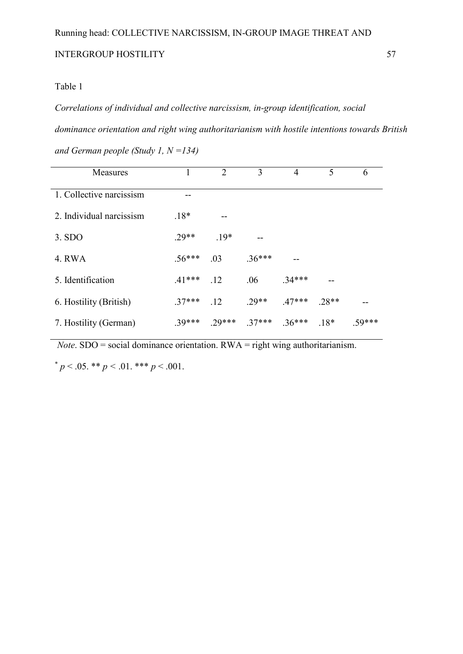## Table 1

*Correlations of individual and collective narcissism, in-group identification, social dominance orientation and right wing authoritarianism with hostile intentions towards British and German people (Study 1, N =134)* 

| Measures                 |          | 2     | 3        | 4       | 5      | 6     |
|--------------------------|----------|-------|----------|---------|--------|-------|
| 1. Collective narcissism |          |       |          |         |        |       |
| 2. Individual narcissism | $.18*$   |       |          |         |        |       |
| 3. SDO                   | $29**$   | $19*$ |          |         |        |       |
| 4. RWA                   | $.56***$ | .03   | $.36***$ |         |        |       |
| 5. Identification        | $.41***$ | .12   | .06      | $34***$ |        |       |
| 6. Hostility (British)   | $.37***$ | .12   | $29**$   | $47***$ | 28**   |       |
| 7. Hostility (German)    | 39***    | 29*** | $.37***$ | $36***$ | $.18*$ | 59*** |

 *Note*. SDO = social dominance orientation. RWA = right wing authoritarianism.

 $p < .05.$  \*\*  $p < .01.$  \*\*\*  $p < .001.$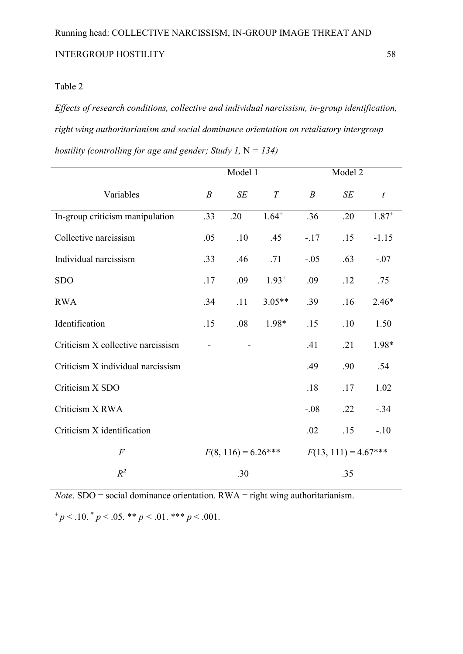*Effects of research conditions, collective and individual narcissism, in-group identification, right wing authoritarianism and social dominance orientation on retaliatory intergroup hostility (controlling for age and gender; Study 1,* N *= 134)*

|                                   | Model 1          |                       |            |                        | Model 2 |                  |  |
|-----------------------------------|------------------|-----------------------|------------|------------------------|---------|------------------|--|
| Variables                         | $\boldsymbol{B}$ | SE                    | T          | $\boldsymbol{B}$       | SE      | $\boldsymbol{t}$ |  |
| In-group criticism manipulation   | .33              | .20                   | $1.64^{+}$ | .36                    | .20     | $1.87^{+}$       |  |
| Collective narcissism             | .05              | .10                   | .45        | $-17$                  | .15     | $-1.15$          |  |
| Individual narcissism             | .33              | .46                   | .71        | $-.05$                 | .63     | $-.07$           |  |
| <b>SDO</b>                        | .17              | .09                   | $1.93^{+}$ | .09                    | .12     | .75              |  |
| <b>RWA</b>                        | .34              | .11                   | $3.05**$   | .39                    | .16     | $2.46*$          |  |
| Identification                    | .15              | .08                   | 1.98*      | .15                    | .10     | 1.50             |  |
| Criticism X collective narcissism |                  |                       |            | .41                    | .21     | 1.98*            |  |
| Criticism X individual narcissism |                  |                       |            | .49                    | .90     | .54              |  |
| Criticism X SDO                   |                  |                       |            | .18                    | .17     | 1.02             |  |
| Criticism X RWA                   |                  |                       |            | $-.08$                 | .22     | $-.34$           |  |
| Criticism X identification        |                  |                       |            | .02                    | .15     | $-.10$           |  |
| $\overline{F}$                    |                  | $F(8, 116) = 6.26***$ |            | $F(13, 111) = 4.67***$ |         |                  |  |
| $R^2$                             |                  | .30                   |            |                        | .35     |                  |  |

*Note*. SDO = social dominance orientation. RWA = right wing authoritarianism.  $+p < 0.10.^* p < 0.05.^* p < 0.01.^* p < 0.01.$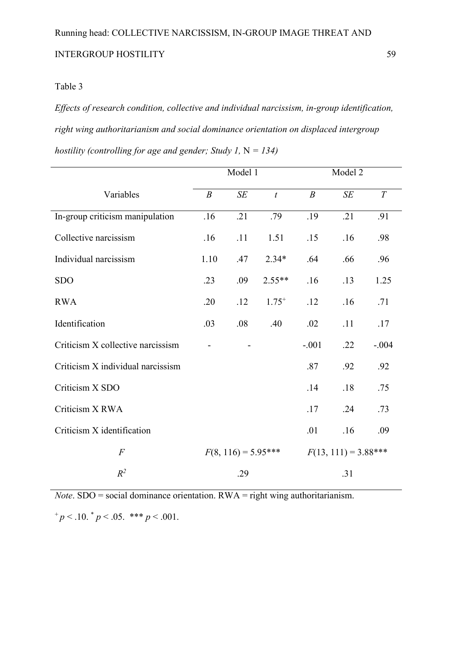*Effects of research condition, collective and individual narcissism, in-group identification, right wing authoritarianism and social dominance orientation on displaced intergroup hostility (controlling for age and gender; Study 1,* N *= 134)* 

|                                   | Model 1          |                       |                  |                        | Model 2 |         |  |
|-----------------------------------|------------------|-----------------------|------------------|------------------------|---------|---------|--|
| Variables                         | $\boldsymbol{B}$ | SE                    | $\boldsymbol{t}$ | $\boldsymbol{B}$       | SE      | T       |  |
| In-group criticism manipulation   | .16              | .21                   | .79              | .19                    | .21     | .91     |  |
| Collective narcissism             | .16              | .11                   | 1.51             | .15                    | .16     | .98     |  |
| Individual narcissism             | 1.10             | .47                   | $2.34*$          | .64                    | .66     | .96     |  |
| <b>SDO</b>                        | .23              | .09                   | $2.55**$         | .16                    | .13     | 1.25    |  |
| <b>RWA</b>                        | .20              | .12                   | $1.75^{+}$       | .12                    | .16     | .71     |  |
| Identification                    | .03              | .08                   | .40              | .02                    | .11     | .17     |  |
| Criticism X collective narcissism |                  |                       |                  | $-.001$                | .22     | $-.004$ |  |
| Criticism X individual narcissism |                  |                       |                  | .87                    | .92     | .92     |  |
| Criticism X SDO                   |                  |                       |                  | .14                    | .18     | .75     |  |
| Criticism X RWA                   |                  |                       |                  | .17                    | .24     | .73     |  |
| Criticism X identification        |                  |                       |                  | .01                    | .16     | .09     |  |
| $\overline{F}$                    |                  | $F(8, 116) = 5.95***$ |                  | $F(13, 111) = 3.88***$ |         |         |  |
| $R^2$                             |                  | .29                   |                  |                        | .31     |         |  |

*Note*. SDO = social dominance orientation. RWA = right wing authoritarianism.  $^{+}p$  < .10.  $^{*}p$  < .05. \*\*\* *p* < .001.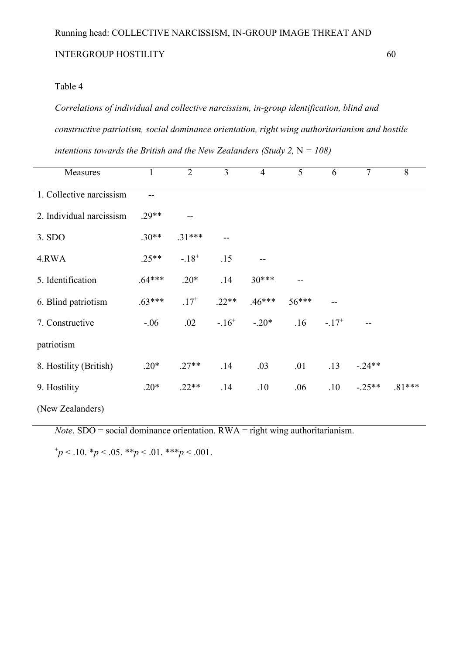#### Table 4

*Correlations of individual and collective narcissism, in-group identification, blind and constructive patriotism, social dominance orientation, right wing authoritarianism and hostile intentions towards the British and the New Zealanders (Study 2,*  $N = 108$ *)* 

| Measures                 | 1        | $\overline{2}$ | $\overline{3}$ | $\overline{4}$ | 5     | 6         | $\overline{7}$ | 8        |
|--------------------------|----------|----------------|----------------|----------------|-------|-----------|----------------|----------|
| 1. Collective narcissism |          |                |                |                |       |           |                |          |
| 2. Individual narcissism | $.29**$  |                |                |                |       |           |                |          |
| 3. SDO                   | $.30**$  | $.31***$       | --             |                |       |           |                |          |
| 4.RWA                    | $.25**$  | $-18^{+}$      | .15            |                |       |           |                |          |
| 5. Identification        | $.64***$ | $.20*$         | .14            | $30***$        |       |           |                |          |
| 6. Blind patriotism      | $.63***$ | $.17^{+}$      | $.22**$        | $.46***$       | 56*** | $-$       |                |          |
| 7. Constructive          | $-.06$   | .02            | $-16^{+}$      | $-.20*$        | .16   | $-17^{+}$ |                |          |
| patriotism               |          |                |                |                |       |           |                |          |
| 8. Hostility (British)   | $.20*$   | $.27**$        | .14            | .03            | .01   | .13       | $-.24**$       |          |
| 9. Hostility             | $.20*$   | $.22**$        | .14            | .10            | .06   | .10       | $-.25**$       | $.81***$ |
| (New Zealanders)         |          |                |                |                |       |           |                |          |

*Note*. SDO = social dominance orientation. RWA = right wing authoritarianism.

 $^{+}p$  < .10.  $^{*}p$  < .05.  $^{*}p$  < .01.  $^{*}p$  < .001.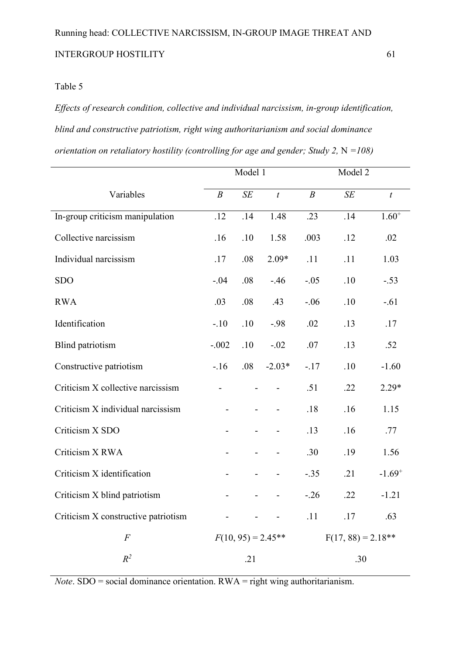*Effects of research condition, collective and individual narcissism, in-group identification, blind and constructive patriotism, right wing authoritarianism and social dominance orientation on retaliatory hostility (controlling for age and gender; Study 2, N =108)* 

|                                     | Model 1          |     |                      |                      | Model 2 |                  |  |
|-------------------------------------|------------------|-----|----------------------|----------------------|---------|------------------|--|
| Variables                           | $\boldsymbol{B}$ | SE  | $\boldsymbol{t}$     | $\boldsymbol{B}$     | SE      | $\boldsymbol{t}$ |  |
| In-group criticism manipulation     | .12              | .14 | 1.48                 | .23                  | .14     | $1.60^{+}$       |  |
| Collective narcissism               | .16              | .10 | 1.58                 | .003                 | .12     | .02              |  |
| Individual narcissism               | .17              | .08 | $2.09*$              | .11                  | .11     | 1.03             |  |
| <b>SDO</b>                          | $-.04$           | .08 | $-46$                | $-.05$               | .10     | $-.53$           |  |
| <b>RWA</b>                          | .03              | .08 | .43                  | $-.06$               | .10     | $-.61$           |  |
| Identification                      | $-.10$           | .10 | $-.98$               | .02                  | .13     | .17              |  |
| <b>Blind</b> patriotism             | $-.002$          | .10 | $-.02$               | .07                  | .13     | .52              |  |
| Constructive patriotism             | $-16$            | .08 | $-2.03*$             | $-.17$               | .10     | $-1.60$          |  |
| Criticism X collective narcissism   |                  |     |                      | .51                  | .22     | $2.29*$          |  |
| Criticism X individual narcissism   |                  |     |                      | .18                  | .16     | 1.15             |  |
| Criticism X SDO                     |                  |     |                      | .13                  | .16     | .77              |  |
| Criticism X RWA                     |                  |     |                      | .30                  | .19     | 1.56             |  |
| Criticism X identification          |                  |     |                      | $-.35$               | .21     | $-1.69^{+}$      |  |
| Criticism X blind patriotism        |                  |     |                      | $-.26$               | .22     | $-1.21$          |  |
| Criticism X constructive patriotism |                  |     |                      | .11                  | .17     | .63              |  |
| $\cal F$                            |                  |     | $F(10, 95) = 2.45**$ | $F(17, 88) = 2.18**$ |         |                  |  |
| $R^2$                               | .21              |     |                      | .30                  |         |                  |  |

*Note*. SDO = social dominance orientation. RWA = right wing authoritarianism.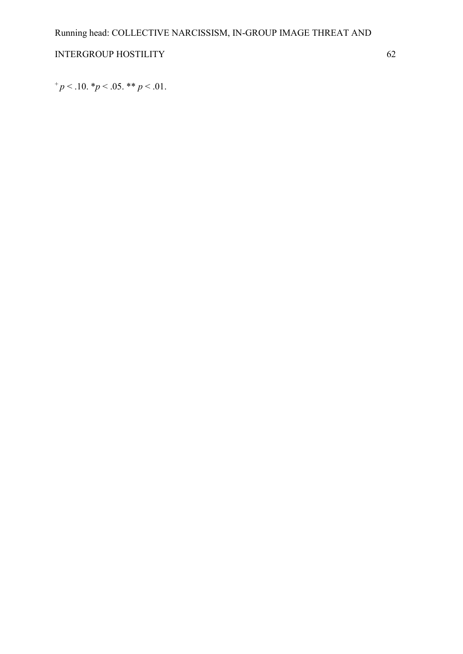$^{+}p$  < .10.  $^{*}p$  < .05.  $^{**}p$  < .01.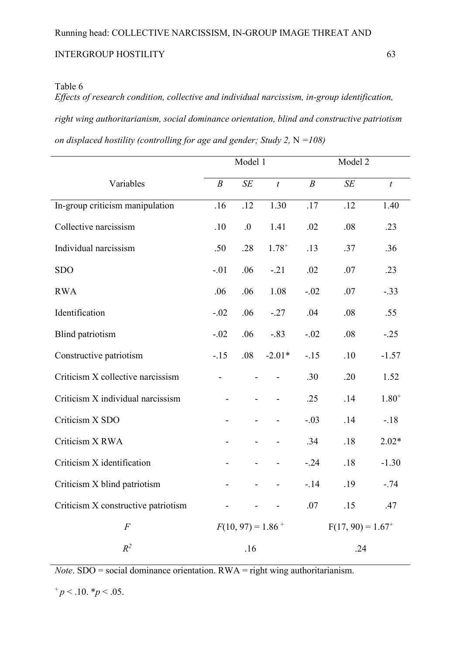*Effects of research condition, collective and individual narcissism, in-group identification, right wing authoritarianism, social dominance orientation, blind and constructive patriotism on displaced hostility (controlling for age and gender; Study 2, N =108)* 

|                                     | Model 1          |                                 |                          | Model 2                         |     |                  |  |
|-------------------------------------|------------------|---------------------------------|--------------------------|---------------------------------|-----|------------------|--|
| Variables                           | $\boldsymbol{B}$ | SE                              | $\boldsymbol{t}$         | $\boldsymbol{B}$                | SE  | $\boldsymbol{t}$ |  |
| In-group criticism manipulation     | .16              | .12                             | 1.30                     | .17                             | .12 | 1.40             |  |
| Collective narcissism               | .10              | .0                              | 1.41                     | .02                             | .08 | .23              |  |
| Individual narcissism               | .50              | .28                             | $1.78^{+}$               | .13                             | .37 | .36              |  |
| <b>SDO</b>                          | $-.01$           | .06                             | $-.21$                   | .02                             | .07 | .23              |  |
| <b>RWA</b>                          | .06              | .06                             | 1.08                     | $-.02$                          | .07 | $-.33$           |  |
| Identification                      | $-.02$           | .06                             | $-.27$                   | .04                             | .08 | .55              |  |
| <b>Blind</b> patriotism             | $-.02$           | .06                             | $-.83$                   | $-.02$                          | .08 | $-.25$           |  |
| Constructive patriotism             | $-15$            | .08                             | $-2.01*$                 | $-15$                           | .10 | $-1.57$          |  |
| Criticism X collective narcissism   |                  | $\overline{a}$                  | $\overline{\phantom{0}}$ | .30                             | .20 | 1.52             |  |
| Criticism X individual narcissism   |                  |                                 |                          | .25                             | .14 | $1.80^{+}$       |  |
| Criticism X SDO                     |                  | $\blacksquare$                  | $\overline{\phantom{0}}$ | $-.03$                          | .14 | $-18$            |  |
| Criticism X RWA                     |                  |                                 |                          | .34                             | .18 | $2.02*$          |  |
| Criticism X identification          |                  | $\blacksquare$                  |                          | $-.24$                          | .18 | $-1.30$          |  |
| Criticism X blind patriotism        |                  |                                 |                          | $-14$                           | .19 | $-.74$           |  |
| Criticism X constructive patriotism |                  |                                 |                          | .07                             | .15 | .47              |  |
| $\cal F$                            |                  | $F(10, 97) = 1.86$ <sup>+</sup> |                          | $F(17, 90) = 1.67$ <sup>+</sup> |     |                  |  |
| $R^2$                               | .16              |                                 |                          |                                 | .24 |                  |  |

*Note*. SDO = social dominance orientation. RWA = right wing authoritarianism.

 $^{+}p$  < .10.  $^{*}p$  < .05.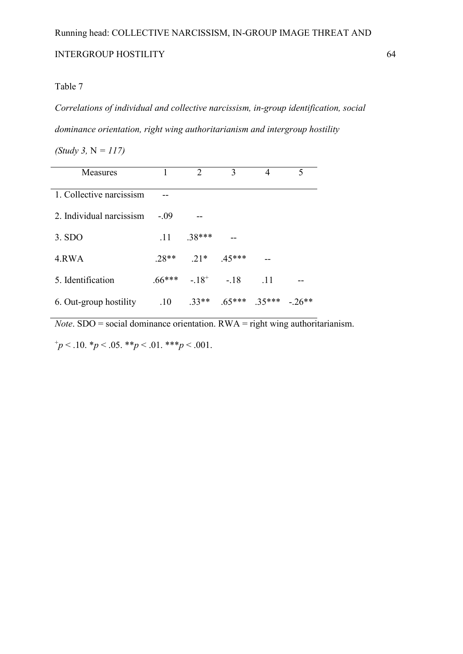#### Table 7

*Correlations of individual and collective narcissism, in-group identification, social dominance orientation, right wing authoritarianism and intergroup hostility* 

*(Study 3,* N *= 117)* 

| Measures                 |         | $\mathcal{D}_{\mathcal{L}}$ | 3             |     | 5       |
|--------------------------|---------|-----------------------------|---------------|-----|---------|
| 1. Collective narcissism |         |                             |               |     |         |
| 2. Individual narcissism | - 09    |                             |               |     |         |
| 3. SDO                   | 11      | $.38***$                    |               |     |         |
| 4.RWA                    | $.28**$ | $.21*$ $.45***$             |               |     |         |
| 5. Identification        |         | $.66***$ $-18^{+}$ $-18$    |               | -11 |         |
| 6. Out-group hostility   | .10     | $33**$                      | $65***$ 35*** |     | $-26**$ |

*Note*. SDO = social dominance orientation. RWA = right wing authoritarianism.

 $^{+}p$  < .10.  $^{*}p$  < .05.  $^{*}p$  < .01.  $^{*}p$  < .001.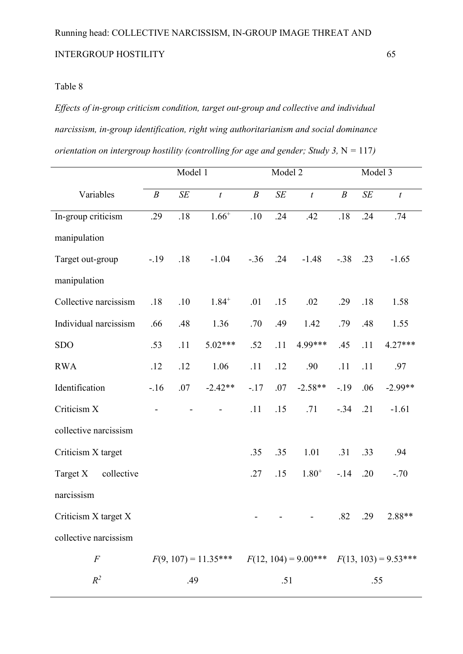*Effects of in-group criticism condition, target out-group and collective and individual narcissism, in-group identification, right wing authoritarianism and social dominance orientation on intergroup hostility (controlling for age and gender; Study 3, N = 117)* 

|                        |                  | Model 1 |                        | Model 2          |     |                         | Model 3          |     |                        |
|------------------------|------------------|---------|------------------------|------------------|-----|-------------------------|------------------|-----|------------------------|
| Variables              | $\boldsymbol{B}$ | SE      | $\boldsymbol{t}$       | $\boldsymbol{B}$ | SE  | $\boldsymbol{t}$        | $\boldsymbol{B}$ | SE  | $\boldsymbol{t}$       |
| In-group criticism     | .29              | .18     | $1.66^{+}$             | .10              | .24 | .42                     | .18              | .24 | .74                    |
| manipulation           |                  |         |                        |                  |     |                         |                  |     |                        |
| Target out-group       | $-.19$           | .18     | $-1.04$                | $-.36$           | .24 | $-1.48$                 | $-.38$           | .23 | $-1.65$                |
| manipulation           |                  |         |                        |                  |     |                         |                  |     |                        |
| Collective narcissism  | .18              | .10     | $1.84^{+}$             | .01              | .15 | .02                     | .29              | .18 | 1.58                   |
| Individual narcissism  | .66              | .48     | 1.36                   | .70              | .49 | 1.42                    | .79              | .48 | 1.55                   |
| <b>SDO</b>             | .53              | .11     | $5.02***$              | .52              | .11 | 4.99***                 | .45              | .11 | $4.27***$              |
| <b>RWA</b>             | .12              | .12     | 1.06                   | .11              | .12 | .90                     | .11              | .11 | .97                    |
| Identification         | $-16$            | .07     | $-2.42**$              | $-.17$           | .07 | $-2.58**$               | $-19$            | .06 | $-2.99**$              |
| Criticism X            |                  |         |                        | .11              | .15 | .71                     | $-.34$           | .21 | $-1.61$                |
| collective narcissism  |                  |         |                        |                  |     |                         |                  |     |                        |
| Criticism X target     |                  |         |                        | .35              | .35 | 1.01                    | .31              | .33 | .94                    |
| Target X<br>collective |                  |         |                        | .27              | .15 | $1.80^{+}$              | $-14$            | .20 | $-.70$                 |
| narcissism             |                  |         |                        |                  |     |                         |                  |     |                        |
| Criticism X target X   |                  |         |                        |                  |     |                         | .82              | .29 | 2.88**                 |
| collective narcissism  |                  |         |                        |                  |     |                         |                  |     |                        |
| $\cal F$               |                  |         | $F(9, 107) = 11.35***$ |                  |     | $F(12, 104) = 9.00$ *** |                  |     | $F(13, 103) = 9.53***$ |
| $R^2$                  |                  | .49     |                        |                  | .51 |                         |                  | .55 |                        |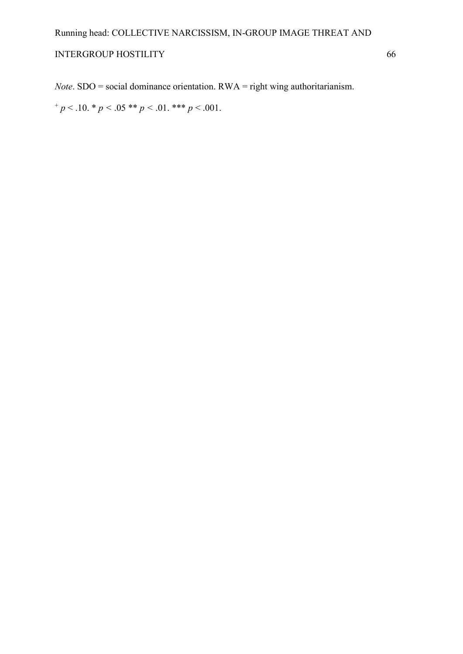*Note*. SDO = social dominance orientation. RWA = right wing authoritarianism.

 $+p < .10.$  \*  $p < .05$  \*\*  $p < .01.$  \*\*\*  $p < .001.$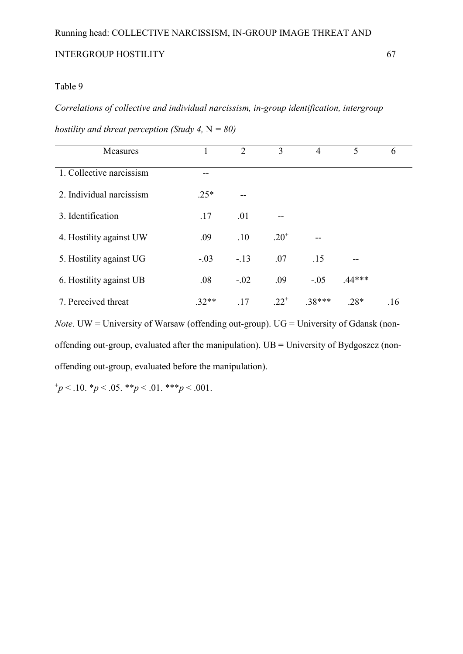#### Table 9

*Correlations of collective and individual narcissism, in-group identification, intergroup* 

| Measures                 |         | $\overline{2}$ | 3         | $\overline{4}$ | 5        | 6   |
|--------------------------|---------|----------------|-----------|----------------|----------|-----|
| 1. Collective narcissism |         |                |           |                |          |     |
| 2. Individual narcissism | $.25*$  |                |           |                |          |     |
| 3. Identification        | .17     | .01            |           |                |          |     |
| 4. Hostility against UW  | .09     | .10            | $.20^{+}$ |                |          |     |
| 5. Hostility against UG  | $-.03$  | $-.13$         | .07       | .15            |          |     |
| 6. Hostility against UB  | .08     | $-.02$         | .09       | $-.05$         | $.44***$ |     |
| 7. Perceived threat      | $.32**$ | .17            | $.22^{+}$ | .38***         | $.28*$   | .16 |

*hostility and threat perception (Study 4,*  $N = 80$ *)* 

*Note*. UW = University of Warsaw (offending out-group). UG = University of Gdansk (nonoffending out-group, evaluated after the manipulation).  $UB = University$  of Bydgoszcz (nonoffending out-group, evaluated before the manipulation).

 $^{+}p$  < .10.  $^{*}p$  < .05.  $^{*}p$  < .01.  $^{*}p$  < .001.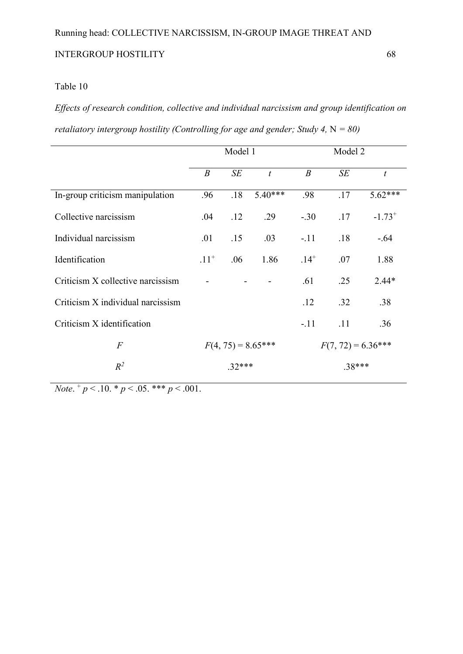# Table 10

*Effects of research condition, collective and individual narcissism and group identification on retaliatory intergroup hostility (Controlling for age and gender; Study 4,* N *= 80)* 

|                                   | Model 1              |     |                  | Model 2              |     |                  |
|-----------------------------------|----------------------|-----|------------------|----------------------|-----|------------------|
|                                   | $\boldsymbol{B}$     | SE  | $\boldsymbol{t}$ | $\boldsymbol{B}$     | SE  | $\boldsymbol{t}$ |
| In-group criticism manipulation   | .96                  | .18 | $5.40***$        | .98                  | .17 | 5.62***          |
| Collective narcissism             | .04                  | .12 | .29              | $-.30$               | .17 | $-1.73^{+}$      |
| Individual narcissism             | .01                  | .15 | .03              | $-.11$               | .18 | $-.64$           |
| Identification                    | $.11^{+}$            | .06 | 1.86             | $.14^{+}$            | .07 | 1.88             |
| Criticism X collective narcissism |                      |     |                  | .61                  | .25 | $2.44*$          |
| Criticism X individual narcissism |                      |     |                  | .12                  | .32 | .38              |
| Criticism X identification        |                      |     |                  | $-.11$               | .11 | .36              |
| $\overline{F}$                    | $F(4, 75) = 8.65***$ |     |                  | $F(7, 72) = 6.36***$ |     |                  |
| $R^2$                             | $.32***$             |     |                  | $.38***$             |     |                  |

*Note*. + *p* < .10. \* *p* < .05. \*\*\* *p* < .001.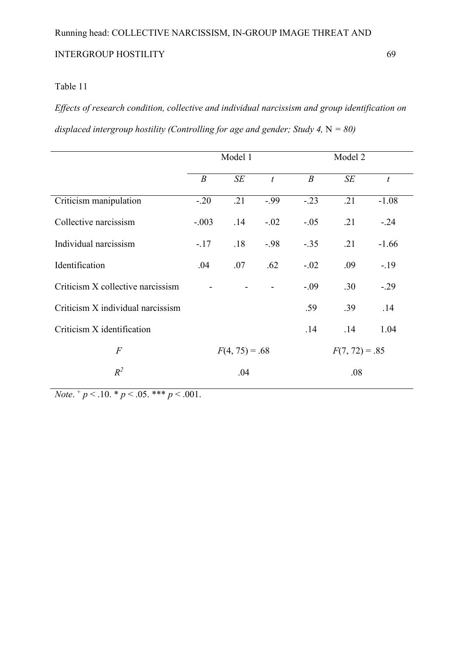*Effects of research condition, collective and individual narcissism and group identification on displaced intergroup hostility (Controlling for age and gender; Study 4,*  $N = 80$ *)* 

|                                   | Model 1          |     |                  |                  | Model 2 |                  |  |
|-----------------------------------|------------------|-----|------------------|------------------|---------|------------------|--|
|                                   | $\boldsymbol{B}$ | SE  | $\boldsymbol{t}$ | $\boldsymbol{B}$ | SE      | $\boldsymbol{t}$ |  |
| Criticism manipulation            | $-.20$           | .21 | $-0.99$          | $-.23$           | .21     | $-1.08$          |  |
| Collective narcissism             | $-.003$          | .14 | $-.02$           | $-.05$           | .21     | $-.24$           |  |
| Individual narcissism             | $-.17$           | .18 | $-98$            | $-.35$           | .21     | $-1.66$          |  |
| Identification                    | .04              | .07 | .62              | $-.02$           | .09     | $-19$            |  |
| Criticism X collective narcissism |                  |     |                  | $-.09$           | .30     | $-0.29$          |  |
| Criticism X individual narcissism |                  |     |                  | .59              | .39     | .14              |  |
| Criticism X identification        |                  |     |                  | .14              | .14     | 1.04             |  |
| $\overline{F}$                    | $F(4, 75) = .68$ |     |                  | $F(7, 72) = .85$ |         |                  |  |
| $R^2$                             | .04              |     |                  | .08              |         |                  |  |

*Note*. + *p* < .10. \* *p* < .05. \*\*\* *p* < .001.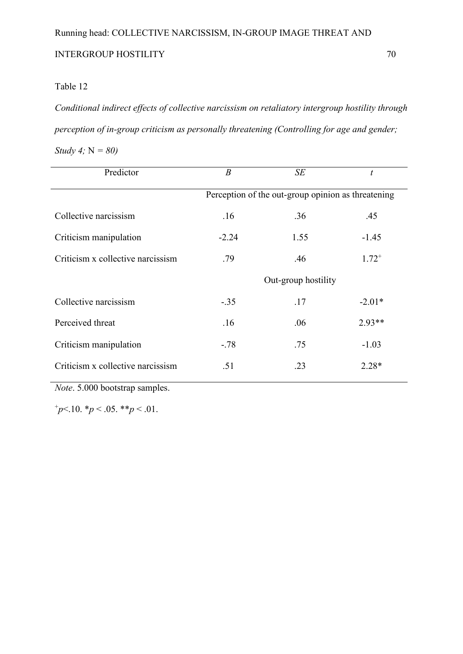*Conditional indirect effects of collective narcissism on retaliatory intergroup hostility through perception of in-group criticism as personally threatening (Controlling for age and gender; \)* 

*Study 4;* N *= 80)* 

| Predictor                         | $\boldsymbol{B}$                                   | SE   | t          |  |  |  |
|-----------------------------------|----------------------------------------------------|------|------------|--|--|--|
|                                   | Perception of the out-group opinion as threatening |      |            |  |  |  |
| Collective narcissism             | .16                                                | .36  | .45        |  |  |  |
| Criticism manipulation            | $-2.24$                                            | 1.55 | $-1.45$    |  |  |  |
| Criticism x collective narcissism | .79                                                | .46  | $1.72^{+}$ |  |  |  |
|                                   | Out-group hostility                                |      |            |  |  |  |
| Collective narcissism             | $-.35$                                             | .17  | $-2.01*$   |  |  |  |
| Perceived threat                  | .16                                                | .06  | $2.93**$   |  |  |  |
| Criticism manipulation            | $-.78$                                             | .75  | $-1.03$    |  |  |  |
| Criticism x collective narcissism | .51                                                | .23  | $2.28*$    |  |  |  |

*Note*. 5.000 bootstrap samples.

 $p<10.$  \* $p<0.05$ . \*\* $p<0.1$ .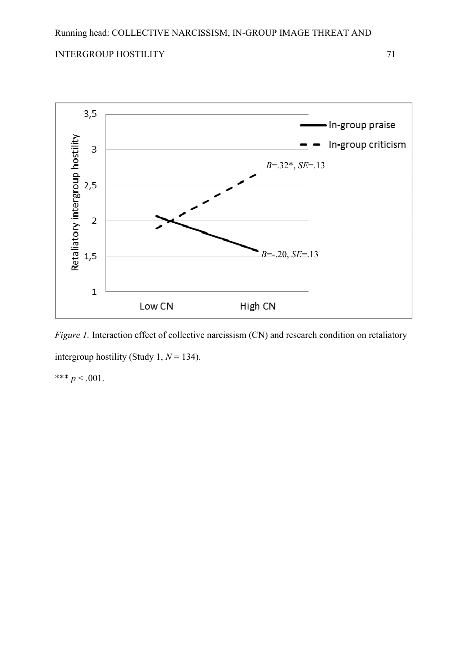

*Figure 1.* Interaction effect of collective narcissism (CN) and research condition on retaliatory intergroup hostility (Study 1, *N* = 134). \*\*\*  $p < .001$ .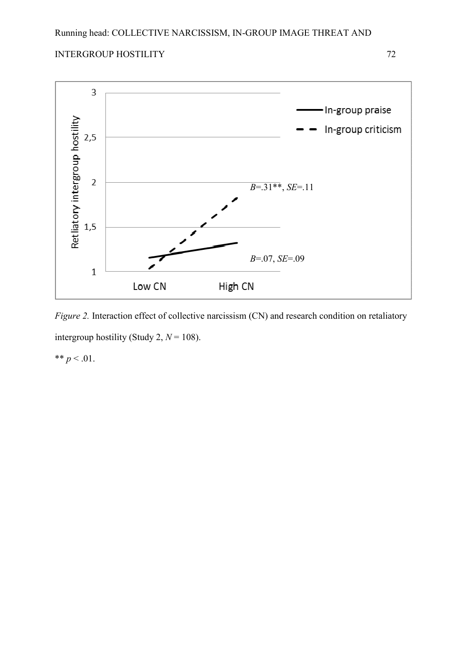



*Figure 2.* Interaction effect of collective narcissism (CN) and research condition on retaliatory intergroup hostility (Study 2,  $N = 108$ ).

\*\*  $p < .01$ .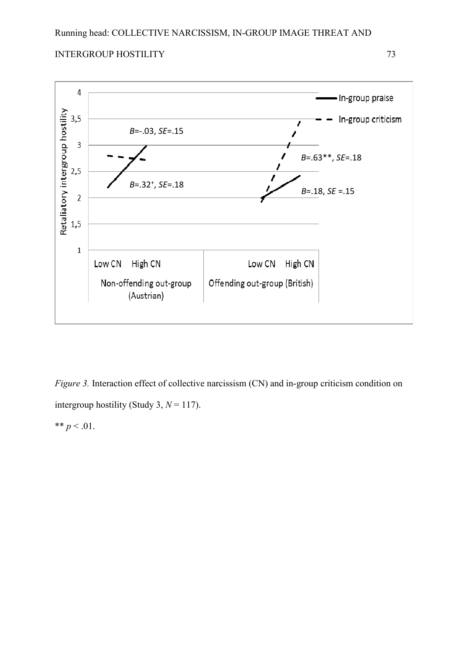



*Figure 3.* Interaction effect of collective narcissism (CN) and in-group criticism condition on intergroup hostility (Study 3,  $N = 117$ ). \*\*  $p < .01$ .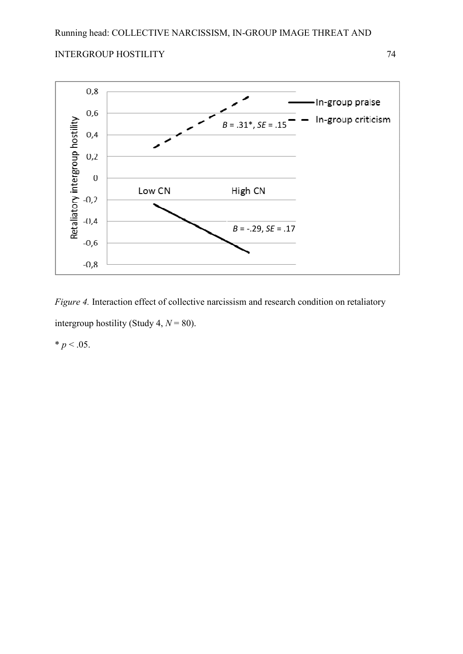



*Figure 4.* Interaction effect of collective narcissism and research condition on retaliatory intergroup hostility (Study 4,  $N = 80$ ).

 $* p < .05.$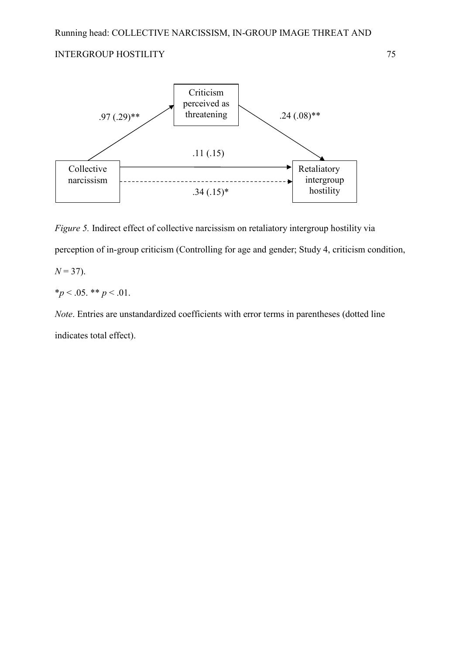

*Figure 5.* Indirect effect of collective narcissism on retaliatory intergroup hostility via perception of in-group criticism (Controlling for age and gender; Study 4, criticism condition,  $N = 37$ ).

 $*_p$  < .05. \*\* *p* < .01.

*Note*. Entries are unstandardized coefficients with error terms in parentheses (dotted line indicates total effect).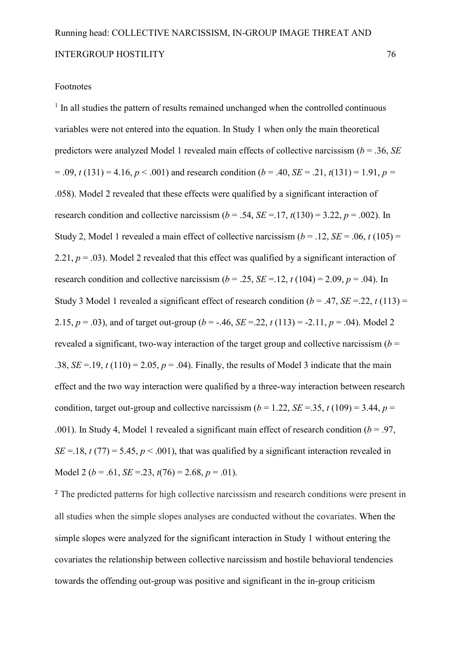#### Footnotes

<sup>1</sup> In all studies the pattern of results remained unchanged when the controlled continuous variables were not entered into the equation. In Study 1 when only the main theoretical predictors were analyzed Model 1 revealed main effects of collective narcissism (*b* = .36, *SE*  $= .09$ ,  $t(131) = 4.16$ ,  $p < .001$ ) and research condition ( $b = .40$ ,  $SE = .21$ ,  $t(131) = 1.91$ ,  $p =$ .058). Model 2 revealed that these effects were qualified by a significant interaction of research condition and collective narcissism  $(b = .54, SE = .17, t(130) = 3.22, p = .002)$ . In Study 2, Model 1 revealed a main effect of collective narcissism  $(b = .12, SE = .06, t(105))$ 2.21,  $p = .03$ ). Model 2 revealed that this effect was qualified by a significant interaction of research condition and collective narcissism  $(b = .25, SE = .12, t(104) = 2.09, p = .04)$ . In Study 3 Model 1 revealed a significant effect of research condition  $(b = .47, SE = .22, t(113) =$ 2.15,  $p = .03$ ), and of target out-group ( $b = -.46$ ,  $SE = .22$ ,  $t(113) = -2.11$ ,  $p = .04$ ). Model 2 revealed a significant, two-way interaction of the target group and collective narcissism  $(b =$ .38,  $SE = .19$ ,  $t(110) = 2.05$ ,  $p = .04$ ). Finally, the results of Model 3 indicate that the main effect and the two way interaction were qualified by a three-way interaction between research condition, target out-group and collective narcissism ( $b = 1.22$ , *SE* = 35, *t* (109) = 3.44, *p* = .001). In Study 4, Model 1 revealed a significant main effect of research condition  $(b = .97)$ . *SE* = 18, *t* (77) = 5.45,  $p < .001$ ), that was qualified by a significant interaction revealed in Model 2 ( $b = .61$ , *SE* = .23,  $t(76) = 2.68$ ,  $p = .01$ ).

<sup>2</sup> The predicted patterns for high collective narcissism and research conditions were present in all studies when the simple slopes analyses are conducted without the covariates. When the simple slopes were analyzed for the significant interaction in Study 1 without entering the covariates the relationship between collective narcissism and hostile behavioral tendencies towards the offending out-group was positive and significant in the in-group criticism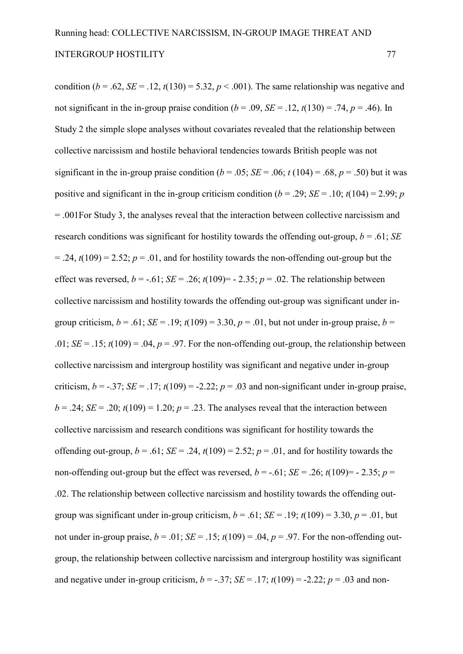condition ( $b = .62$ ,  $SE = .12$ ,  $t(130) = 5.32$ ,  $p < .001$ ). The same relationship was negative and not significant in the in-group praise condition ( $b = .09$ ,  $SE = .12$ ,  $t(130) = .74$ ,  $p = .46$ ). In Study 2 the simple slope analyses without covariates revealed that the relationship between collective narcissism and hostile behavioral tendencies towards British people was not significant in the in-group praise condition ( $b = .05$ ; *SE* = .06;  $t(104) = .68$ ,  $p = .50$ ) but it was positive and significant in the in-group criticism condition ( $b = .29$ ; *SE* = .10;  $t(104) = 2.99$ ; *p* = .001For Study 3, the analyses reveal that the interaction between collective narcissism and research conditions was significant for hostility towards the offending out-group,  $b = .61$ ; *SE*  $= .24$ ,  $t(109) = 2.52$ ;  $p = .01$ , and for hostility towards the non-offending out-group but the effect was reversed,  $b = -0.61$ ;  $SE = 0.26$ ;  $t(109) = -0.235$ ;  $p = 0.02$ . The relationship between collective narcissism and hostility towards the offending out-group was significant under ingroup criticism,  $b = .61$ ;  $SE = .19$ ;  $t(109) = 3.30$ ,  $p = .01$ , but not under in-group praise,  $b =$ .01;  $SE = .15$ ;  $t(109) = .04$ ,  $p = .97$ . For the non-offending out-group, the relationship between collective narcissism and intergroup hostility was significant and negative under in-group criticism,  $b = -.37$ ;  $SE = .17$ ;  $t(109) = .2.22$ ;  $p = .03$  and non-significant under in-group praise,  $b = 0.24$ ; *SE* = .20;  $t(109) = 1.20$ ;  $p = 0.23$ . The analyses reveal that the interaction between collective narcissism and research conditions was significant for hostility towards the offending out-group,  $b = .61$ ;  $SE = .24$ ,  $t(109) = 2.52$ ;  $p = .01$ , and for hostility towards the non-offending out-group but the effect was reversed,  $b = -0.61$ ; *SE* = .26; *t*(109)=  $-$  2.35; *p* = .02. The relationship between collective narcissism and hostility towards the offending out group was significant under in-group criticism,  $b = .61$ ;  $SE = .19$ ;  $t(109) = 3.30$ ,  $p = .01$ , but not under in-group praise,  $b = .01$ ;  $SE = .15$ ;  $t(109) = .04$ ,  $p = .97$ . For the non-offending outgroup, the relationship between collective narcissism and intergroup hostility was significant and negative under in-group criticism,  $b = -.37$ ;  $SE = .17$ ;  $t(109) = .2.22$ ;  $p = .03$  and non-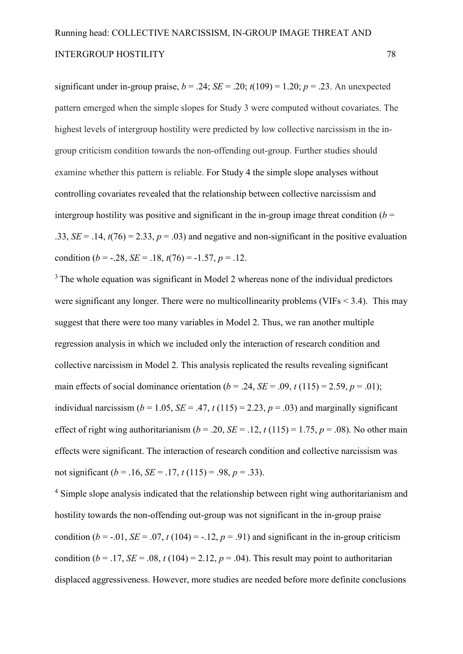significant under in-group praise,  $b = .24$ ;  $SE = .20$ ;  $t(109) = 1.20$ ;  $p = .23$ . An unexpected pattern emerged when the simple slopes for Study 3 were computed without covariates. The highest levels of intergroup hostility were predicted by low collective narcissism in the in group criticism condition towards the non-offending out-group. Further studies should examine whether this pattern is reliable. For Study 4 the simple slope analyses without controlling covariates revealed that the relationship between collective narcissism and intergroup hostility was positive and significant in the in-group image threat condition  $(b =$ .33,  $SE = .14$ ,  $t(76) = 2.33$ ,  $p = .03$ ) and negative and non-significant in the positive evaluation condition (*b* = -.28, *SE* = .18,  $t(76)$  = -1.57, *p* = .12.

<sup>3</sup> The whole equation was significant in Model 2 whereas none of the individual predictors were significant any longer. There were no multicollinearity problems (VIFs  $\leq$  3.4). This may suggest that there were too many variables in Model 2. Thus, we ran another multiple regression analysis in which we included only the interaction of research condition and collective narcissism in Model 2. This analysis replicated the results revealing significant main effects of social dominance orientation ( $b = .24$ ,  $SE = .09$ ,  $t(115) = 2.59$ ,  $p = .01$ ); individual narcissism ( $b = 1.05$ ,  $SE = .47$ ,  $t(115) = 2.23$ ,  $p = .03$ ) and marginally significant effect of right wing authoritarianism ( $b = .20$ ,  $SE = .12$ ,  $t(115) = 1.75$ ,  $p = .08$ ). No other main effects were significant. The interaction of research condition and collective narcissism was not significant ( $b = .16$ ,  $SE = .17$ ,  $t(115) = .98$ ,  $p = .33$ ).

<sup>4</sup> Simple slope analysis indicated that the relationship between right wing authoritarianism and hostility towards the non-offending out-group was not significant in the in-group praise condition ( $b = -0.01$ ,  $SE = 0.07$ ,  $t(104) = -0.12$ ,  $p = 0.91$ ) and significant in the in-group criticism condition ( $b = .17$ , *SE* = .08,  $t(104) = 2.12$ ,  $p = .04$ ). This result may point to authoritarian displaced aggressiveness. However, more studies are needed before more definite conclusions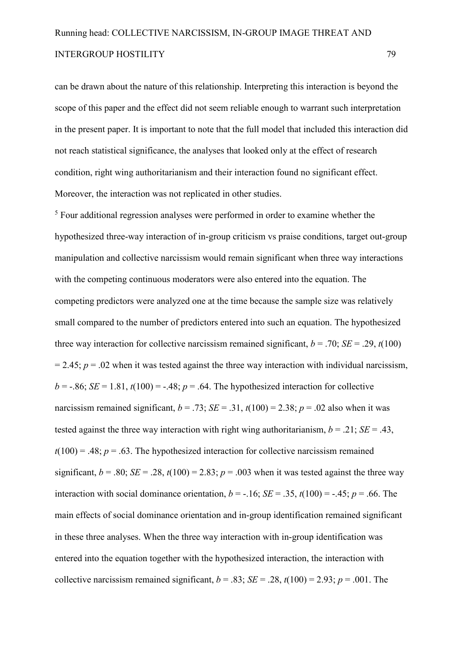can be drawn about the nature of this relationship. Interpreting this interaction is beyond the scope of this paper and the effect did not seem reliable enough to warrant such interpretation in the present paper. It is important to note that the full model that included this interaction did not reach statistical significance, the analyses that looked only at the effect of research condition, right wing authoritarianism and their interaction found no significant effect. Moreover, the interaction was not replicated in other studies.

<sup>5</sup> Four additional regression analyses were performed in order to examine whether the hypothesized three-way interaction of in-group criticism vs praise conditions, target out-group manipulation and collective narcissism would remain significant when three way interactions with the competing continuous moderators were also entered into the equation. The competing predictors were analyzed one at the time because the sample size was relatively small compared to the number of predictors entered into such an equation. The hypothesized three way interaction for collective narcissism remained significant,  $b = .70$ ; *SE* = .29,  $t(100)$  $= 2.45$ ;  $p = .02$  when it was tested against the three way interaction with individual narcissism,  $b = -0.86$ ; *SE* = 1.81,  $t(100) = -0.48$ ;  $p = 0.64$ . The hypothesized interaction for collective narcissism remained significant,  $b = .73$ ;  $SE = .31$ ,  $t(100) = 2.38$ ;  $p = .02$  also when it was tested against the three way interaction with right wing authoritarianism,  $b = .21$ ;  $SE = .43$ .  $t(100) = .48$ ;  $p = .63$ . The hypothesized interaction for collective narcissism remained significant,  $b = .80$ ; *SE* = .28,  $t(100) = 2.83$ ;  $p = .003$  when it was tested against the three way interaction with social dominance orientation,  $b = -16$ ; *SE* = .35,  $t(100) = -0.45$ ;  $p = 0.66$ . The main effects of social dominance orientation and in-group identification remained significant in these three analyses. When the three way interaction with in-group identification was entered into the equation together with the hypothesized interaction, the interaction with collective narcissism remained significant,  $b = .83$ ;  $SE = .28$ ,  $t(100) = 2.93$ ;  $p = .001$ . The